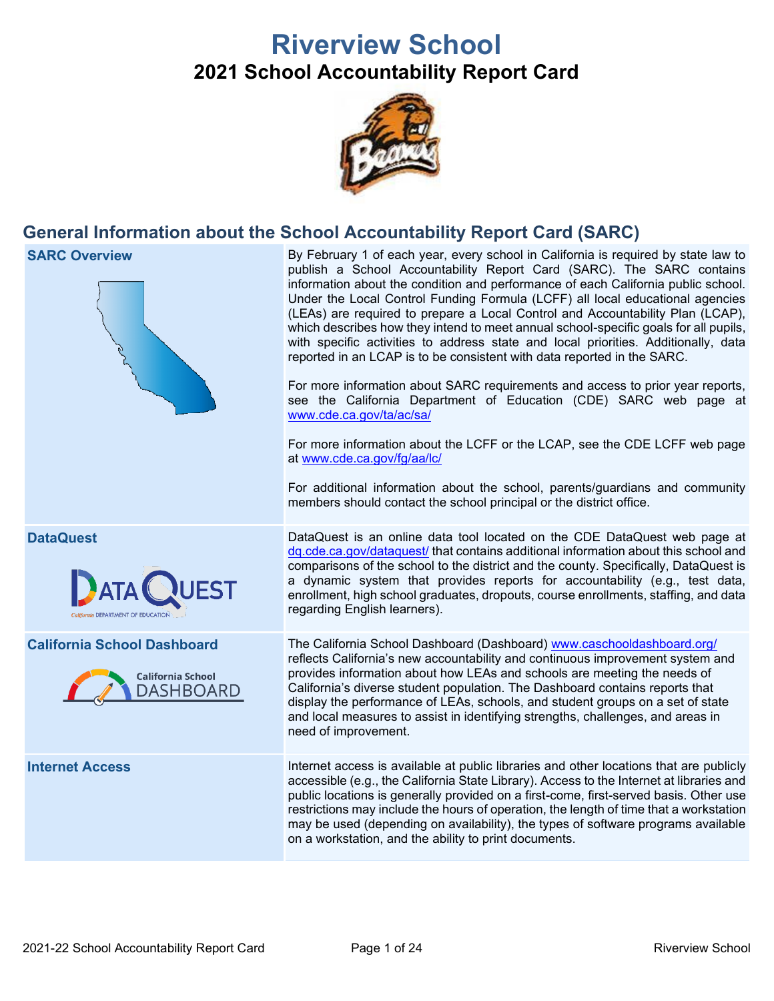# **Riverview School 2021 School Accountability Report Card**



## **General Information about the School Accountability Report Card (SARC)**

**SARC Overview** By February 1 of each year, every school in California is required by state law to publish a School Accountability Report Card (SARC). The SARC contains information about the condition and performance of each California public school. Under the Local Control Funding Formula (LCFF) all local educational agencies (LEAs) are required to prepare a Local Control and Accountability Plan (LCAP), which describes how they intend to meet annual school-specific goals for all pupils, with specific activities to address state and local priorities. Additionally, data reported in an LCAP is to be consistent with data reported in the SARC. For more information about SARC requirements and access to prior year reports, see the California Department of Education (CDE) SARC web page at [www.cde.ca.gov/ta/ac/sa/](https://www.cde.ca.gov/ta/ac/sa/) For more information about the LCFF or the LCAP, see the CDE LCFF web page at [www.cde.ca.gov/fg/aa/lc/](https://www.cde.ca.gov/fg/aa/lc/) For additional information about the school, parents/guardians and community members should contact the school principal or the district office. **DataQuest** DataQuest is an online data tool located on the CDE DataQuest web page at [dq.cde.ca.gov/dataquest/](https://dq.cde.ca.gov/dataquest/) that contains additional information about this school and comparisons of the school to the district and the county. Specifically, DataQuest is a dynamic system that provides reports for accountability (e.g., test data, **BATA** enrollment, high school graduates, dropouts, course enrollments, staffing, and data regarding English learners). **California School Dashboard** The California School Dashboard (Dashboard) [www.caschooldashboard.org/](http://www.caschooldashboard.org/) reflects California's new accountability and continuous improvement system and provides information about how LEAs and schools are meeting the needs of **California School** California's diverse student population. The Dashboard contains reports that **DASHBOARD** display the performance of LEAs, schools, and student groups on a set of state and local measures to assist in identifying strengths, challenges, and areas in need of improvement. **Internet Access** Internet access is available at public libraries and other locations that are publicly accessible (e.g., the California State Library). Access to the Internet at libraries and public locations is generally provided on a first-come, first-served basis. Other use restrictions may include the hours of operation, the length of time that a workstation may be used (depending on availability), the types of software programs available on a workstation, and the ability to print documents.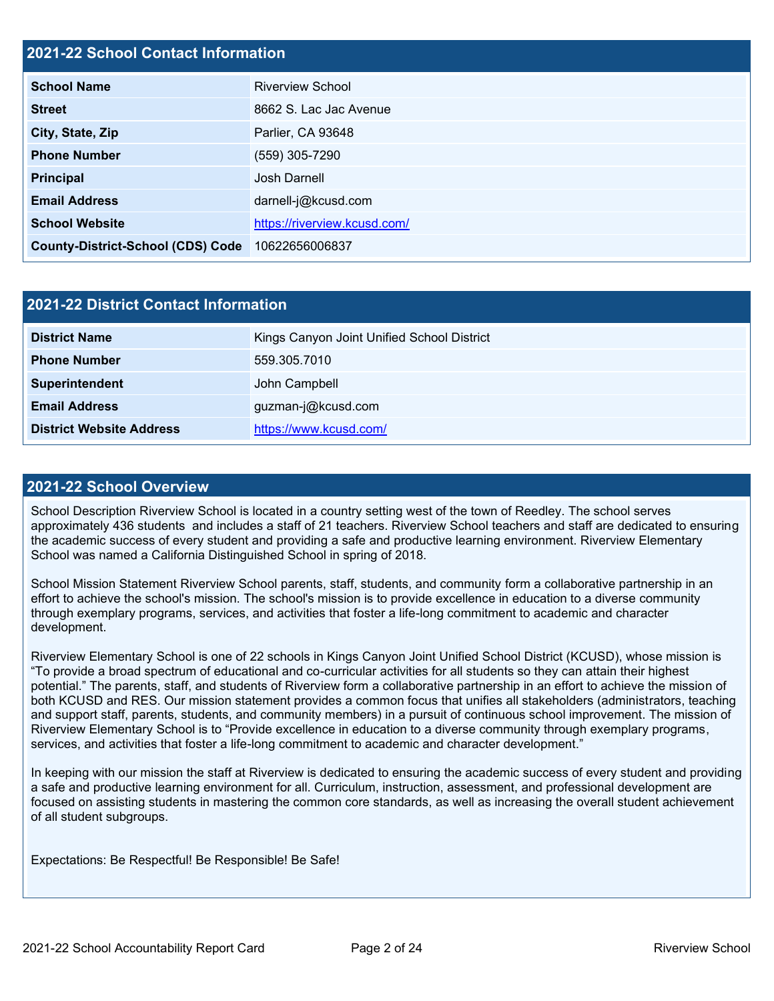## **2021-22 School Contact Information**

| <b>School Name</b>                       | <b>Riverview School</b>      |  |  |  |
|------------------------------------------|------------------------------|--|--|--|
| <b>Street</b>                            | 8662 S. Lac Jac Avenue       |  |  |  |
| City, State, Zip                         | Parlier, CA 93648            |  |  |  |
| <b>Phone Number</b>                      | (559) 305-7290               |  |  |  |
| <b>Principal</b>                         | <b>Josh Darnell</b>          |  |  |  |
| <b>Email Address</b>                     | darnell-j@kcusd.com          |  |  |  |
| <b>School Website</b>                    | https://riverview.kcusd.com/ |  |  |  |
| <b>County-District-School (CDS) Code</b> | 10622656006837               |  |  |  |

| 2021-22 District Contact Information |                                            |  |  |  |  |
|--------------------------------------|--------------------------------------------|--|--|--|--|
| <b>District Name</b>                 | Kings Canyon Joint Unified School District |  |  |  |  |
| <b>Phone Number</b>                  | 559.305.7010                               |  |  |  |  |
| Superintendent                       | John Campbell                              |  |  |  |  |
| <b>Email Address</b>                 | guzman-j@kcusd.com                         |  |  |  |  |
| <b>District Website Address</b>      | https://www.kcusd.com/                     |  |  |  |  |

#### **2021-22 School Overview**

School Description Riverview School is located in a country setting west of the town of Reedley. The school serves approximately 436 students and includes a staff of 21 teachers. Riverview School teachers and staff are dedicated to ensuring the academic success of every student and providing a safe and productive learning environment. Riverview Elementary School was named a California Distinguished School in spring of 2018.

School Mission Statement Riverview School parents, staff, students, and community form a collaborative partnership in an effort to achieve the school's mission. The school's mission is to provide excellence in education to a diverse community through exemplary programs, services, and activities that foster a life-long commitment to academic and character development.

Riverview Elementary School is one of 22 schools in Kings Canyon Joint Unified School District (KCUSD), whose mission is "To provide a broad spectrum of educational and co-curricular activities for all students so they can attain their highest potential." The parents, staff, and students of Riverview form a collaborative partnership in an effort to achieve the mission of both KCUSD and RES. Our mission statement provides a common focus that unifies all stakeholders (administrators, teaching and support staff, parents, students, and community members) in a pursuit of continuous school improvement. The mission of Riverview Elementary School is to "Provide excellence in education to a diverse community through exemplary programs, services, and activities that foster a life-long commitment to academic and character development."

In keeping with our mission the staff at Riverview is dedicated to ensuring the academic success of every student and providing a safe and productive learning environment for all. Curriculum, instruction, assessment, and professional development are focused on assisting students in mastering the common core standards, as well as increasing the overall student achievement of all student subgroups.

Expectations: Be Respectful! Be Responsible! Be Safe!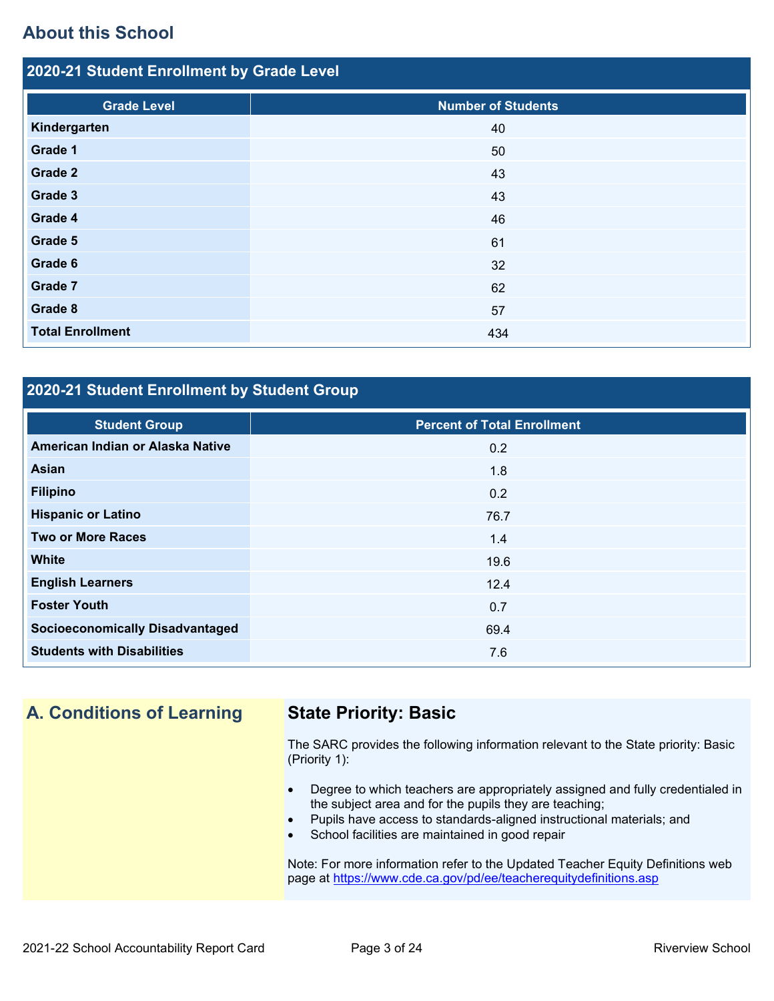## **About this School**

| 2020-21 Student Enrollment by Grade Level |                           |  |  |  |  |  |
|-------------------------------------------|---------------------------|--|--|--|--|--|
| <b>Grade Level</b>                        | <b>Number of Students</b> |  |  |  |  |  |
| Kindergarten                              | 40                        |  |  |  |  |  |
| Grade 1                                   | 50                        |  |  |  |  |  |
| Grade 2                                   | 43                        |  |  |  |  |  |
| Grade 3                                   | 43                        |  |  |  |  |  |
| Grade 4                                   | 46                        |  |  |  |  |  |
| Grade 5                                   | 61                        |  |  |  |  |  |
| Grade 6                                   | 32                        |  |  |  |  |  |
| Grade 7                                   | 62                        |  |  |  |  |  |
| Grade 8                                   | 57                        |  |  |  |  |  |
| <b>Total Enrollment</b>                   | 434                       |  |  |  |  |  |

## **2020-21 Student Enrollment by Student Group**

| <b>Student Group</b>                   | <b>Percent of Total Enrollment</b> |
|----------------------------------------|------------------------------------|
| American Indian or Alaska Native       | 0.2                                |
| Asian                                  | 1.8                                |
| <b>Filipino</b>                        | 0.2                                |
| <b>Hispanic or Latino</b>              | 76.7                               |
| <b>Two or More Races</b>               | 1.4                                |
| <b>White</b>                           | 19.6                               |
| <b>English Learners</b>                | 12.4                               |
| <b>Foster Youth</b>                    | 0.7                                |
| <b>Socioeconomically Disadvantaged</b> | 69.4                               |
| <b>Students with Disabilities</b>      | 7.6                                |

## **A. Conditions of Learning State Priority: Basic**

The SARC provides the following information relevant to the State priority: Basic (Priority 1):

- Degree to which teachers are appropriately assigned and fully credentialed in the subject area and for the pupils they are teaching;
- Pupils have access to standards-aligned instructional materials; and
- School facilities are maintained in good repair

Note: For more information refer to the Updated Teacher Equity Definitions web page at<https://www.cde.ca.gov/pd/ee/teacherequitydefinitions.asp>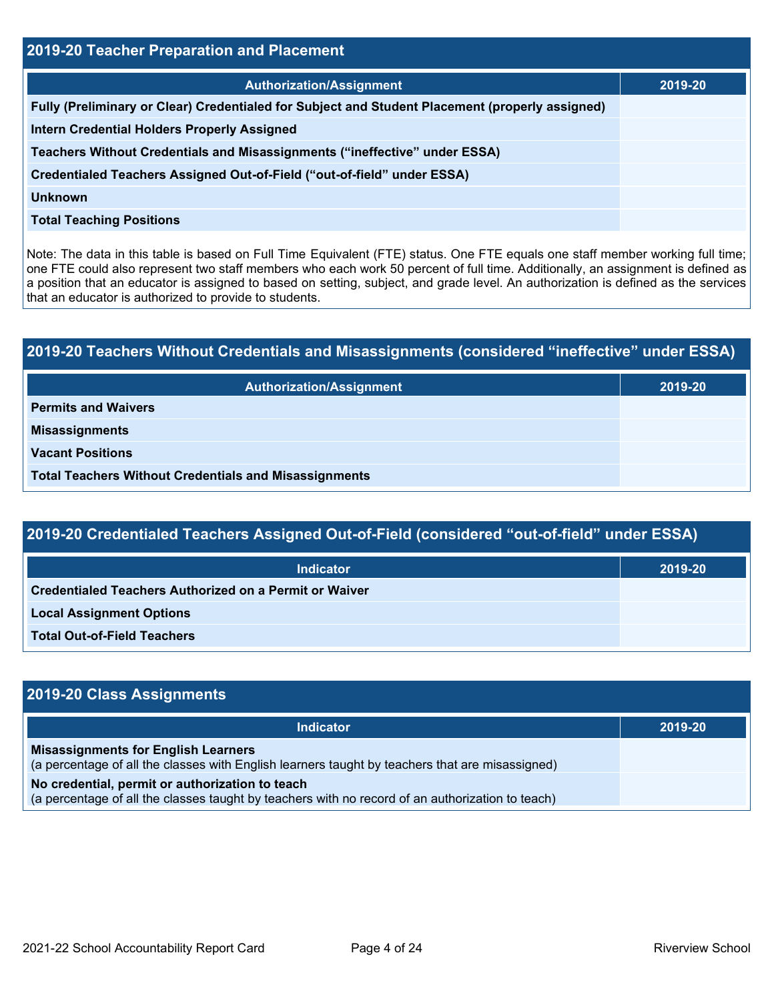| <b>2019-20 Teacher Preparation and Placement</b>                                                |         |  |  |  |
|-------------------------------------------------------------------------------------------------|---------|--|--|--|
| <b>Authorization/Assignment</b>                                                                 | 2019-20 |  |  |  |
| Fully (Preliminary or Clear) Credentialed for Subject and Student Placement (properly assigned) |         |  |  |  |
| <b>Intern Credential Holders Properly Assigned</b>                                              |         |  |  |  |
| Teachers Without Credentials and Misassignments ("ineffective" under ESSA)                      |         |  |  |  |
| Credentialed Teachers Assigned Out-of-Field ("out-of-field" under ESSA)                         |         |  |  |  |
| Unknown                                                                                         |         |  |  |  |
| <b>Total Teaching Positions</b>                                                                 |         |  |  |  |

Note: The data in this table is based on Full Time Equivalent (FTE) status. One FTE equals one staff member working full time; one FTE could also represent two staff members who each work 50 percent of full time. Additionally, an assignment is defined as a position that an educator is assigned to based on setting, subject, and grade level. An authorization is defined as the services that an educator is authorized to provide to students.

# **2019-20 Teachers Without Credentials and Misassignments (considered "ineffective" under ESSA) Authorization/Assignment 2019-20 Permits and Waivers Misassignments Vacant Positions Total Teachers Without Credentials and Misassignments**

| 2019-20 Credentialed Teachers Assigned Out-of-Field (considered "out-of-field" under ESSA) |         |  |  |  |
|--------------------------------------------------------------------------------------------|---------|--|--|--|
| <b>Indicator</b>                                                                           | 2019-20 |  |  |  |
| <b>Credentialed Teachers Authorized on a Permit or Waiver</b>                              |         |  |  |  |
| <b>Local Assignment Options</b>                                                            |         |  |  |  |

**Total Out-of-Field Teachers**

| 2019-20 Class Assignments                                                                                                                           |         |
|-----------------------------------------------------------------------------------------------------------------------------------------------------|---------|
| <b>Indicator</b>                                                                                                                                    | 2019-20 |
| <b>Misassignments for English Learners</b><br>(a percentage of all the classes with English learners taught by teachers that are misassigned)       |         |
| No credential, permit or authorization to teach<br>(a percentage of all the classes taught by teachers with no record of an authorization to teach) |         |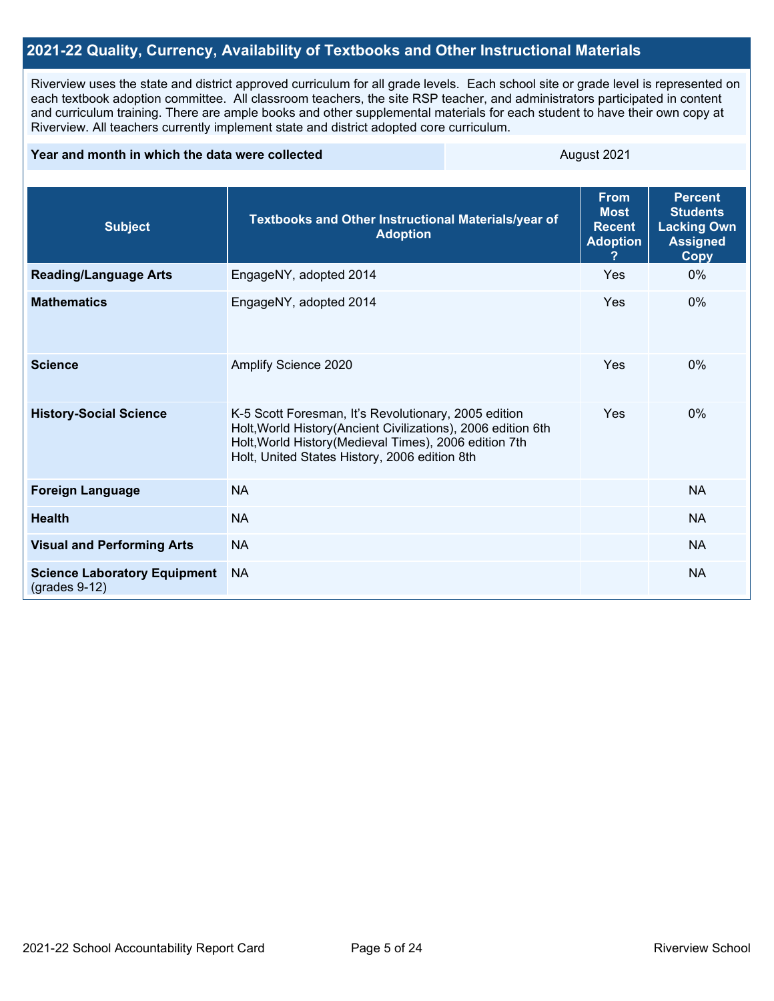## **2021-22 Quality, Currency, Availability of Textbooks and Other Instructional Materials**

Riverview uses the state and district approved curriculum for all grade levels. Each school site or grade level is represented on each textbook adoption committee. All classroom teachers, the site RSP teacher, and administrators participated in content and curriculum training. There are ample books and other supplemental materials for each student to have their own copy at Riverview. All teachers currently implement state and district adopted core curriculum.

#### **Year and month in which the data were collected** August 2021

| <b>Subject</b>                                         | Textbooks and Other Instructional Materials/year of<br><b>Adoption</b>                                                                                                                                                           | <b>From</b><br><b>Most</b><br><b>Recent</b><br><b>Adoption</b> | <b>Percent</b><br><b>Students</b><br><b>Lacking Own</b><br><b>Assigned</b><br><b>Copy</b> |
|--------------------------------------------------------|----------------------------------------------------------------------------------------------------------------------------------------------------------------------------------------------------------------------------------|----------------------------------------------------------------|-------------------------------------------------------------------------------------------|
| <b>Reading/Language Arts</b>                           | EngageNY, adopted 2014                                                                                                                                                                                                           | Yes                                                            | $0\%$                                                                                     |
| <b>Mathematics</b>                                     | EngageNY, adopted 2014                                                                                                                                                                                                           | Yes                                                            | 0%                                                                                        |
| <b>Science</b>                                         | Amplify Science 2020                                                                                                                                                                                                             | Yes                                                            | 0%                                                                                        |
| <b>History-Social Science</b>                          | K-5 Scott Foresman, It's Revolutionary, 2005 edition<br>Holt, World History (Ancient Civilizations), 2006 edition 6th<br>Holt, World History (Medieval Times), 2006 edition 7th<br>Holt, United States History, 2006 edition 8th | Yes                                                            | $0\%$                                                                                     |
| <b>Foreign Language</b>                                | <b>NA</b>                                                                                                                                                                                                                        |                                                                | <b>NA</b>                                                                                 |
| <b>Health</b>                                          | <b>NA</b>                                                                                                                                                                                                                        |                                                                | <b>NA</b>                                                                                 |
| <b>Visual and Performing Arts</b>                      | <b>NA</b>                                                                                                                                                                                                                        |                                                                | <b>NA</b>                                                                                 |
| <b>Science Laboratory Equipment</b><br>$(grades 9-12)$ | <b>NA</b>                                                                                                                                                                                                                        |                                                                | <b>NA</b>                                                                                 |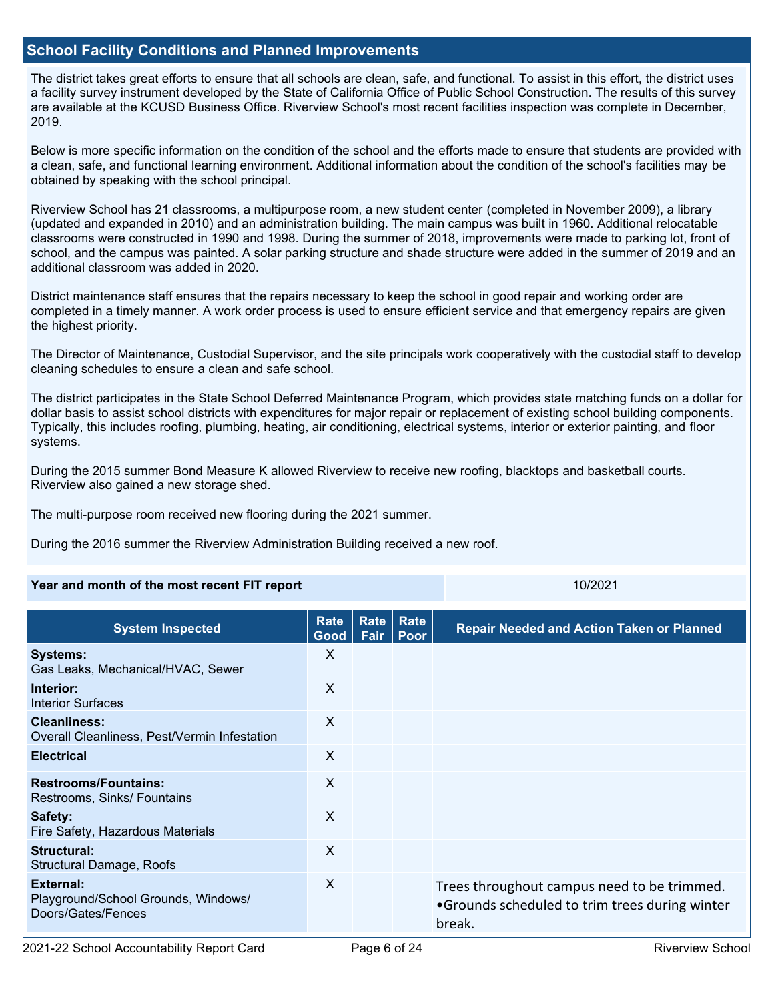## **School Facility Conditions and Planned Improvements**

The district takes great efforts to ensure that all schools are clean, safe, and functional. To assist in this effort, the district uses a facility survey instrument developed by the State of California Office of Public School Construction. The results of this survey are available at the KCUSD Business Office. Riverview School's most recent facilities inspection was complete in December, 2019.

Below is more specific information on the condition of the school and the efforts made to ensure that students are provided with a clean, safe, and functional learning environment. Additional information about the condition of the school's facilities may be obtained by speaking with the school principal.

Riverview School has 21 classrooms, a multipurpose room, a new student center (completed in November 2009), a library (updated and expanded in 2010) and an administration building. The main campus was built in 1960. Additional relocatable classrooms were constructed in 1990 and 1998. During the summer of 2018, improvements were made to parking lot, front of school, and the campus was painted. A solar parking structure and shade structure were added in the summer of 2019 and an additional classroom was added in 2020.

District maintenance staff ensures that the repairs necessary to keep the school in good repair and working order are completed in a timely manner. A work order process is used to ensure efficient service and that emergency repairs are given the highest priority.

The Director of Maintenance, Custodial Supervisor, and the site principals work cooperatively with the custodial staff to develop cleaning schedules to ensure a clean and safe school.

The district participates in the State School Deferred Maintenance Program, which provides state matching funds on a dollar for dollar basis to assist school districts with expenditures for major repair or replacement of existing school building components. Typically, this includes roofing, plumbing, heating, air conditioning, electrical systems, interior or exterior painting, and floor systems.

During the 2015 summer Bond Measure K allowed Riverview to receive new roofing, blacktops and basketball courts. Riverview also gained a new storage shed.

The multi-purpose room received new flooring during the 2021 summer.

During the 2016 summer the Riverview Administration Building received a new roof.

#### **Year and month of the most recent FIT report** 10/2021 10/2021

| <b>System Inspected</b>                                                | Rate<br>Good | <b>Rate</b><br>Fair | <b>Rate</b><br>Poor | <b>Repair Needed and Action Taken or Planned</b>                                                        |
|------------------------------------------------------------------------|--------------|---------------------|---------------------|---------------------------------------------------------------------------------------------------------|
| <b>Systems:</b><br>Gas Leaks, Mechanical/HVAC, Sewer                   | X            |                     |                     |                                                                                                         |
| Interior:<br><b>Interior Surfaces</b>                                  | X            |                     |                     |                                                                                                         |
| <b>Cleanliness:</b><br>Overall Cleanliness, Pest/Vermin Infestation    | X            |                     |                     |                                                                                                         |
| <b>Electrical</b>                                                      | X            |                     |                     |                                                                                                         |
| <b>Restrooms/Fountains:</b><br>Restrooms, Sinks/ Fountains             | $\mathsf{X}$ |                     |                     |                                                                                                         |
| Safety:<br>Fire Safety, Hazardous Materials                            | X            |                     |                     |                                                                                                         |
| Structural:<br>Structural Damage, Roofs                                | X            |                     |                     |                                                                                                         |
| External:<br>Playground/School Grounds, Windows/<br>Doors/Gates/Fences | $\times$     |                     |                     | Trees throughout campus need to be trimmed.<br>•Grounds scheduled to trim trees during winter<br>break. |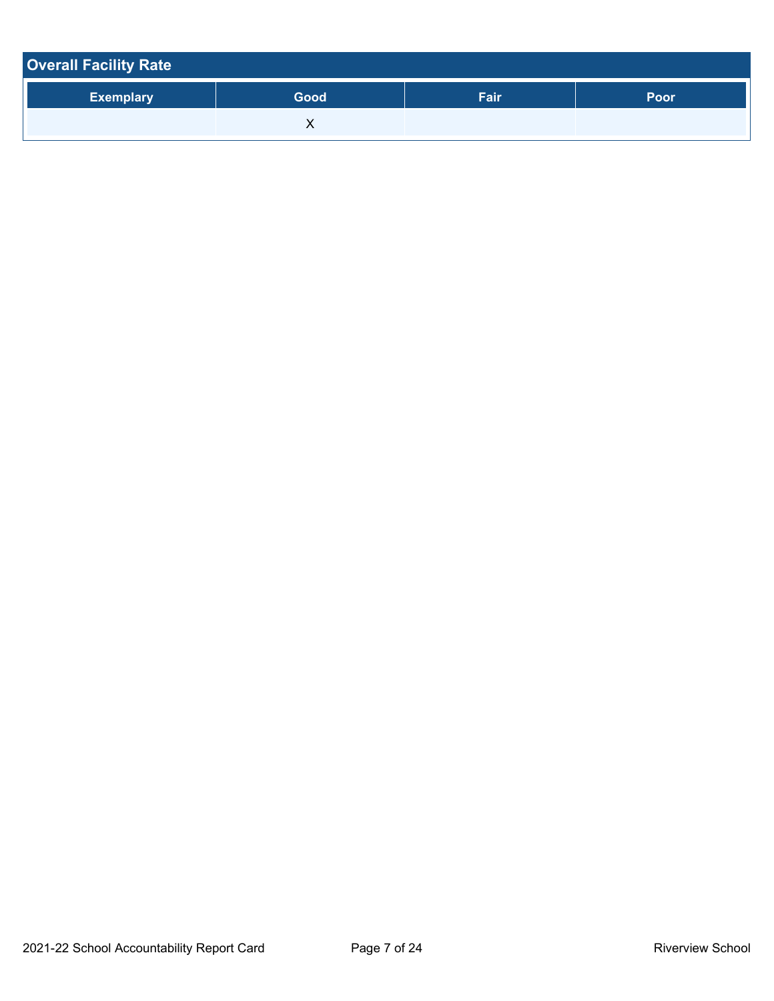| <b>Overall Facility Rate</b> |      |      |      |
|------------------------------|------|------|------|
| <b>Exemplary</b>             | Good | Fair | Poor |
|                              |      |      |      |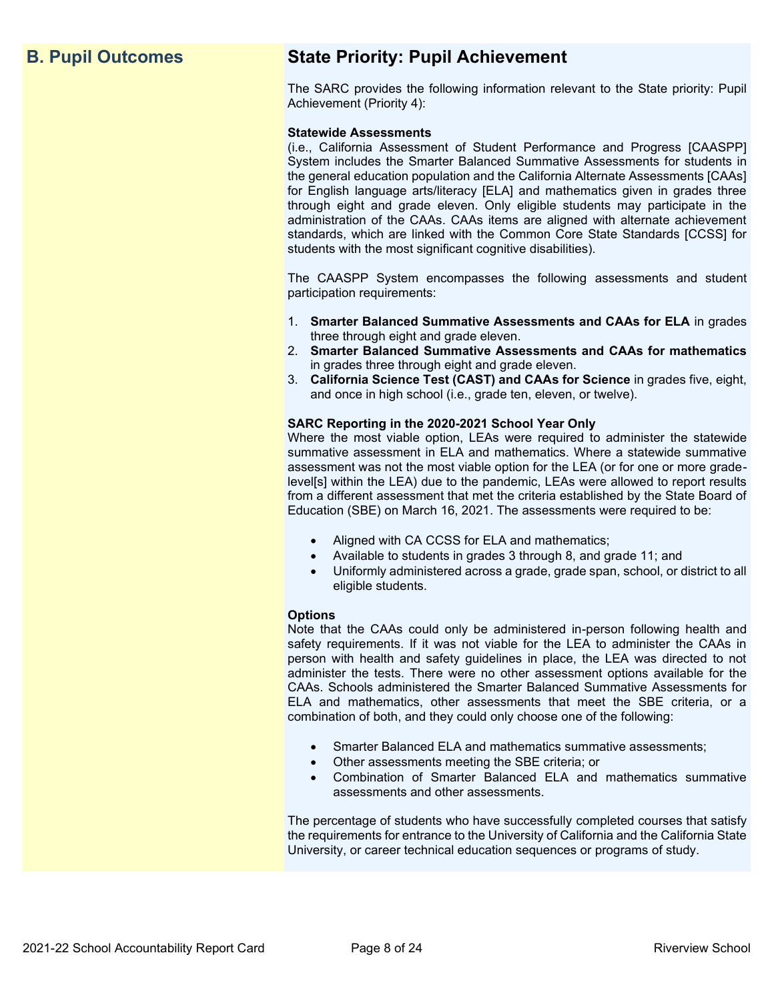## **B. Pupil Outcomes State Priority: Pupil Achievement**

The SARC provides the following information relevant to the State priority: Pupil Achievement (Priority 4):

#### **Statewide Assessments**

(i.e., California Assessment of Student Performance and Progress [CAASPP] System includes the Smarter Balanced Summative Assessments for students in the general education population and the California Alternate Assessments [CAAs] for English language arts/literacy [ELA] and mathematics given in grades three through eight and grade eleven. Only eligible students may participate in the administration of the CAAs. CAAs items are aligned with alternate achievement standards, which are linked with the Common Core State Standards [CCSS] for students with the most significant cognitive disabilities).

The CAASPP System encompasses the following assessments and student participation requirements:

- 1. **Smarter Balanced Summative Assessments and CAAs for ELA** in grades three through eight and grade eleven.
- 2. **Smarter Balanced Summative Assessments and CAAs for mathematics** in grades three through eight and grade eleven.
- 3. **California Science Test (CAST) and CAAs for Science** in grades five, eight, and once in high school (i.e., grade ten, eleven, or twelve).

#### **SARC Reporting in the 2020-2021 School Year Only**

Where the most viable option, LEAs were required to administer the statewide summative assessment in ELA and mathematics. Where a statewide summative assessment was not the most viable option for the LEA (or for one or more gradelevel[s] within the LEA) due to the pandemic, LEAs were allowed to report results from a different assessment that met the criteria established by the State Board of Education (SBE) on March 16, 2021. The assessments were required to be:

- Aligned with CA CCSS for ELA and mathematics;
- Available to students in grades 3 through 8, and grade 11; and
- Uniformly administered across a grade, grade span, school, or district to all eligible students.

#### **Options**

Note that the CAAs could only be administered in-person following health and safety requirements. If it was not viable for the LEA to administer the CAAs in person with health and safety guidelines in place, the LEA was directed to not administer the tests. There were no other assessment options available for the CAAs. Schools administered the Smarter Balanced Summative Assessments for ELA and mathematics, other assessments that meet the SBE criteria, or a combination of both, and they could only choose one of the following:

- Smarter Balanced ELA and mathematics summative assessments;
- Other assessments meeting the SBE criteria; or
- Combination of Smarter Balanced ELA and mathematics summative assessments and other assessments.

The percentage of students who have successfully completed courses that satisfy the requirements for entrance to the University of California and the California State University, or career technical education sequences or programs of study.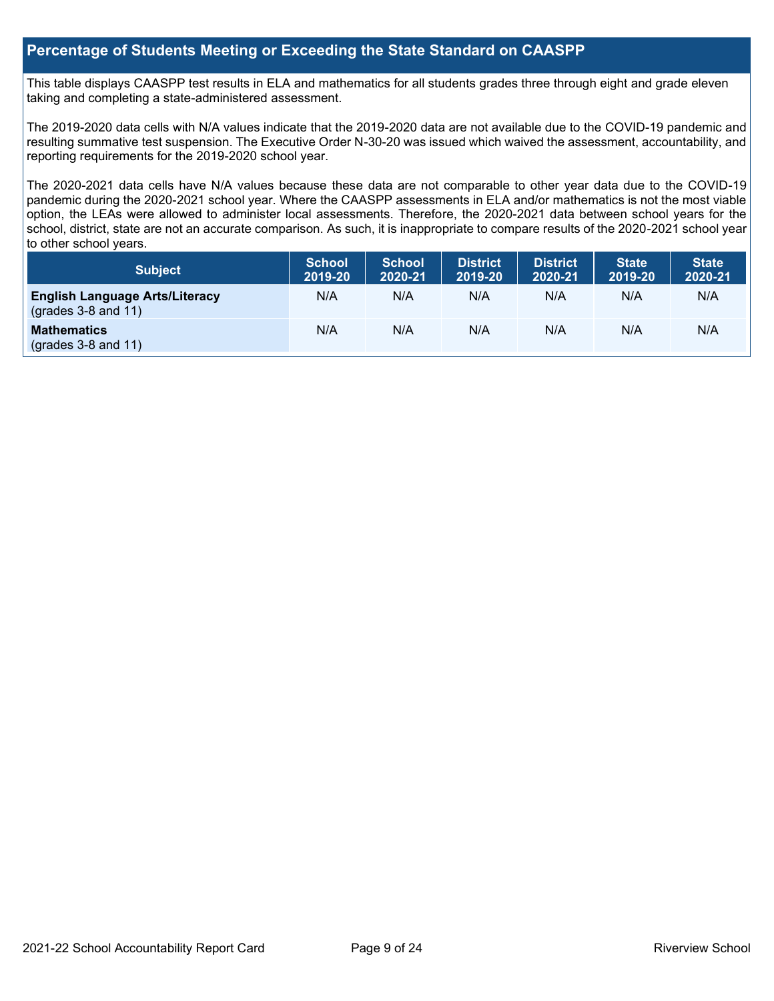## **Percentage of Students Meeting or Exceeding the State Standard on CAASPP**

This table displays CAASPP test results in ELA and mathematics for all students grades three through eight and grade eleven taking and completing a state-administered assessment.

The 2019-2020 data cells with N/A values indicate that the 2019-2020 data are not available due to the COVID-19 pandemic and resulting summative test suspension. The Executive Order N-30-20 was issued which waived the assessment, accountability, and reporting requirements for the 2019-2020 school year.

The 2020-2021 data cells have N/A values because these data are not comparable to other year data due to the COVID-19 pandemic during the 2020-2021 school year. Where the CAASPP assessments in ELA and/or mathematics is not the most viable option, the LEAs were allowed to administer local assessments. Therefore, the 2020-2021 data between school years for the school, district, state are not an accurate comparison. As such, it is inappropriate to compare results of the 2020-2021 school year to other school years.

| Subject                                                              | <b>School</b><br>2019-20 | <b>School</b><br>2020-21 | <b>District</b><br>2019-20 | <b>District</b><br>2020-21 | <b>State</b><br>2019-20 | <b>State</b><br>2020-21 |
|----------------------------------------------------------------------|--------------------------|--------------------------|----------------------------|----------------------------|-------------------------|-------------------------|
| <b>English Language Arts/Literacy</b><br>$\left($ grades 3-8 and 11) | N/A                      | N/A                      | N/A                        | N/A                        | N/A                     | N/A                     |
| <b>Mathematics</b><br>$(grades 3-8 and 11)$                          | N/A                      | N/A                      | N/A                        | N/A                        | N/A                     | N/A                     |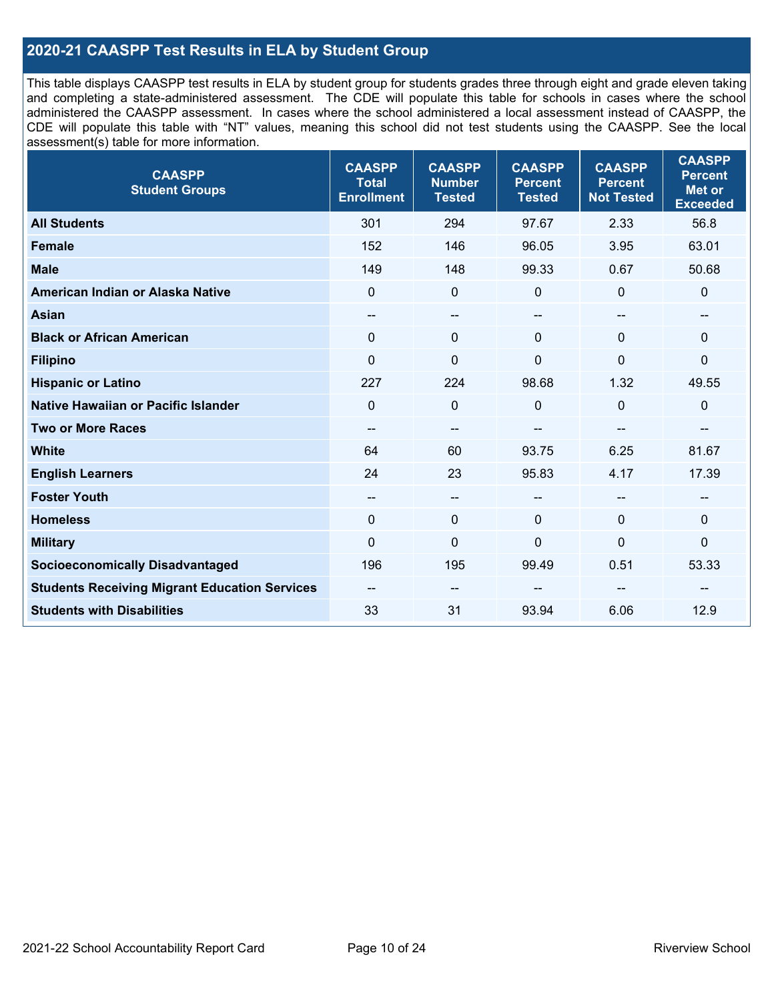## **2020-21 CAASPP Test Results in ELA by Student Group**

This table displays CAASPP test results in ELA by student group for students grades three through eight and grade eleven taking and completing a state-administered assessment. The CDE will populate this table for schools in cases where the school administered the CAASPP assessment. In cases where the school administered a local assessment instead of CAASPP, the CDE will populate this table with "NT" values, meaning this school did not test students using the CAASPP. See the local assessment(s) table for more information.

| <b>CAASPP</b><br><b>Student Groups</b>               | <b>CAASPP</b><br><b>Total</b><br><b>Enrollment</b> | <b>CAASPP</b><br><b>Number</b><br><b>Tested</b> | <b>CAASPP</b><br><b>Percent</b><br><b>Tested</b> | <b>CAASPP</b><br><b>Percent</b><br><b>Not Tested</b> | <b>CAASPP</b><br><b>Percent</b><br><b>Met or</b><br><b>Exceeded</b> |
|------------------------------------------------------|----------------------------------------------------|-------------------------------------------------|--------------------------------------------------|------------------------------------------------------|---------------------------------------------------------------------|
| <b>All Students</b>                                  | 301                                                | 294                                             | 97.67                                            | 2.33                                                 | 56.8                                                                |
| <b>Female</b>                                        | 152                                                | 146                                             | 96.05                                            | 3.95                                                 | 63.01                                                               |
| <b>Male</b>                                          | 149                                                | 148                                             | 99.33                                            | 0.67                                                 | 50.68                                                               |
| American Indian or Alaska Native                     | $\Omega$                                           | $\mathbf 0$                                     | 0                                                | $\mathbf 0$                                          | $\mathbf 0$                                                         |
| <b>Asian</b>                                         | $\overline{\phantom{a}}$                           | $\qquad \qquad -$                               | --                                               | $-$                                                  | $\qquad \qquad -$                                                   |
| <b>Black or African American</b>                     | $\mathbf{0}$                                       | $\mathbf 0$                                     | $\mathbf{0}$                                     | $\mathbf{0}$                                         | $\mathbf 0$                                                         |
| <b>Filipino</b>                                      | $\mathbf 0$                                        | $\mathbf 0$                                     | $\mathbf{0}$                                     | $\Omega$                                             | 0                                                                   |
| <b>Hispanic or Latino</b>                            | 227                                                | 224                                             | 98.68                                            | 1.32                                                 | 49.55                                                               |
| <b>Native Hawaiian or Pacific Islander</b>           | $\Omega$                                           | $\mathbf 0$                                     | 0                                                | $\mathbf{0}$                                         | $\pmb{0}$                                                           |
| <b>Two or More Races</b>                             | $\overline{\phantom{a}}$                           | $\qquad \qquad -$                               |                                                  |                                                      | --                                                                  |
| <b>White</b>                                         | 64                                                 | 60                                              | 93.75                                            | 6.25                                                 | 81.67                                                               |
| <b>English Learners</b>                              | 24                                                 | 23                                              | 95.83                                            | 4.17                                                 | 17.39                                                               |
| <b>Foster Youth</b>                                  | --                                                 | $\overline{\phantom{a}}$                        | --                                               | --                                                   | --                                                                  |
| <b>Homeless</b>                                      | $\Omega$                                           | $\mathbf 0$                                     | $\mathbf{0}$                                     | $\mathbf{0}$                                         | $\mathbf 0$                                                         |
| <b>Military</b>                                      | $\mathbf 0$                                        | $\pmb{0}$                                       | 0                                                | 0                                                    | 0                                                                   |
| <b>Socioeconomically Disadvantaged</b>               | 196                                                | 195                                             | 99.49                                            | 0.51                                                 | 53.33                                                               |
| <b>Students Receiving Migrant Education Services</b> | $- -$                                              | --                                              | --                                               |                                                      |                                                                     |
| <b>Students with Disabilities</b>                    | 33                                                 | 31                                              | 93.94                                            | 6.06                                                 | 12.9                                                                |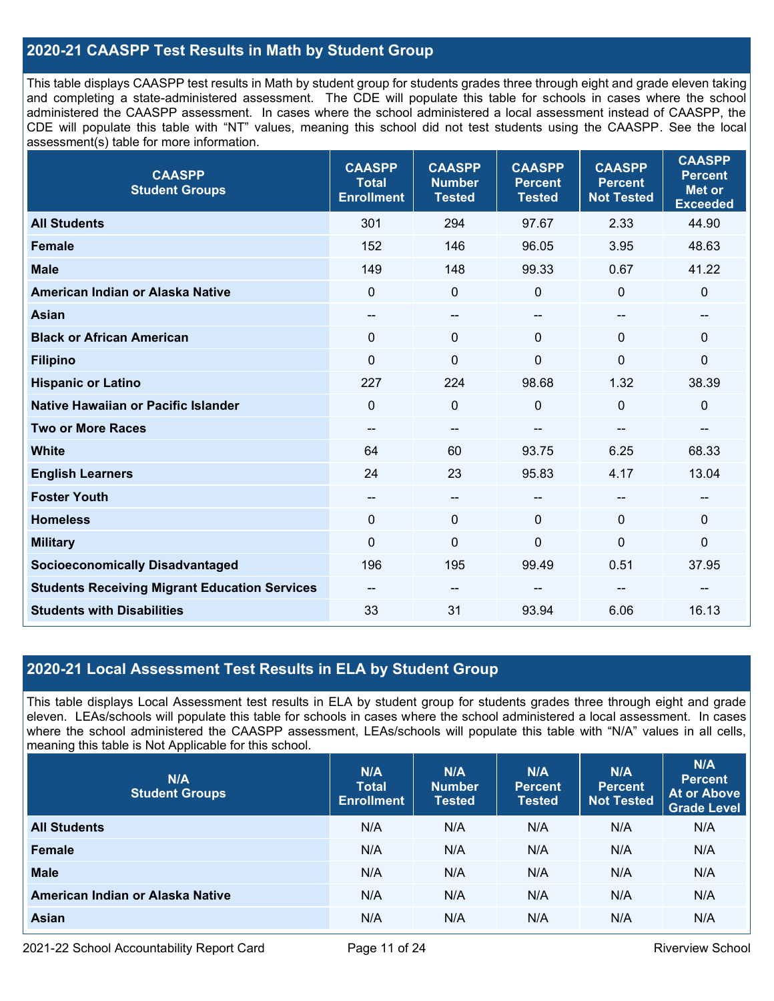## **2020-21 CAASPP Test Results in Math by Student Group**

This table displays CAASPP test results in Math by student group for students grades three through eight and grade eleven taking and completing a state-administered assessment. The CDE will populate this table for schools in cases where the school administered the CAASPP assessment. In cases where the school administered a local assessment instead of CAASPP, the CDE will populate this table with "NT" values, meaning this school did not test students using the CAASPP. See the local assessment(s) table for more information.

| <b>CAASPP</b><br><b>Student Groups</b>               | <b>CAASPP</b><br><b>Total</b><br><b>Enrollment</b> | <b>CAASPP</b><br><b>Number</b><br><b>Tested</b> | <b>CAASPP</b><br><b>Percent</b><br><b>Tested</b> | <b>CAASPP</b><br><b>Percent</b><br><b>Not Tested</b> | <b>CAASPP</b><br><b>Percent</b><br><b>Met or</b><br><b>Exceeded</b> |
|------------------------------------------------------|----------------------------------------------------|-------------------------------------------------|--------------------------------------------------|------------------------------------------------------|---------------------------------------------------------------------|
| <b>All Students</b>                                  | 301                                                | 294                                             | 97.67                                            | 2.33                                                 | 44.90                                                               |
| <b>Female</b>                                        | 152                                                | 146                                             | 96.05                                            | 3.95                                                 | 48.63                                                               |
| <b>Male</b>                                          | 149                                                | 148                                             | 99.33                                            | 0.67                                                 | 41.22                                                               |
| American Indian or Alaska Native                     | $\mathbf 0$                                        | $\mathbf 0$                                     | 0                                                | $\mathbf 0$                                          | $\mathbf 0$                                                         |
| <b>Asian</b>                                         | $\overline{\phantom{a}}$                           | --                                              | --                                               | $\overline{\phantom{a}}$                             | $\qquad \qquad -$                                                   |
| <b>Black or African American</b>                     | $\mathbf 0$                                        | $\mathbf 0$                                     | $\Omega$                                         | $\Omega$                                             | $\mathbf 0$                                                         |
| <b>Filipino</b>                                      | $\mathbf 0$                                        | $\mathbf 0$                                     | $\overline{0}$                                   | $\overline{0}$                                       | $\mathbf 0$                                                         |
| <b>Hispanic or Latino</b>                            | 227                                                | 224                                             | 98.68                                            | 1.32                                                 | 38.39                                                               |
| Native Hawaiian or Pacific Islander                  | $\Omega$                                           | $\mathbf 0$                                     | 0                                                | $\mathbf 0$                                          | $\mathbf 0$                                                         |
| <b>Two or More Races</b>                             | --                                                 | --                                              |                                                  | --                                                   | --                                                                  |
| <b>White</b>                                         | 64                                                 | 60                                              | 93.75                                            | 6.25                                                 | 68.33                                                               |
| <b>English Learners</b>                              | 24                                                 | 23                                              | 95.83                                            | 4.17                                                 | 13.04                                                               |
| <b>Foster Youth</b>                                  | --                                                 | $\qquad \qquad -$                               | --                                               |                                                      | --                                                                  |
| <b>Homeless</b>                                      | $\mathbf 0$                                        | $\mathbf 0$                                     | $\Omega$                                         | $\Omega$                                             | $\mathbf 0$                                                         |
| <b>Military</b>                                      | $\mathbf 0$                                        | $\pmb{0}$                                       | 0                                                | $\mathbf 0$                                          | $\pmb{0}$                                                           |
| <b>Socioeconomically Disadvantaged</b>               | 196                                                | 195                                             | 99.49                                            | 0.51                                                 | 37.95                                                               |
| <b>Students Receiving Migrant Education Services</b> | $\qquad \qquad -$                                  | --                                              |                                                  |                                                      |                                                                     |
| <b>Students with Disabilities</b>                    | 33                                                 | 31                                              | 93.94                                            | 6.06                                                 | 16.13                                                               |

## **2020-21 Local Assessment Test Results in ELA by Student Group**

This table displays Local Assessment test results in ELA by student group for students grades three through eight and grade eleven. LEAs/schools will populate this table for schools in cases where the school administered a local assessment. In cases where the school administered the CAASPP assessment, LEAs/schools will populate this table with "N/A" values in all cells, meaning this table is Not Applicable for this school.

| N/A<br><b>Student Groups</b>     | N/A<br><b>Total</b><br><b>Enrollment</b> | N/A<br><b>Number</b><br><b>Tested</b> | N/A<br><b>Percent</b><br><b>Tested</b> | N/A<br><b>Percent</b><br><b>Not Tested</b> | N/A<br><b>Percent</b><br><b>At or Above</b><br><b>Grade Level</b> |
|----------------------------------|------------------------------------------|---------------------------------------|----------------------------------------|--------------------------------------------|-------------------------------------------------------------------|
| <b>All Students</b>              | N/A                                      | N/A                                   | N/A                                    | N/A                                        | N/A                                                               |
| Female                           | N/A                                      | N/A                                   | N/A                                    | N/A                                        | N/A                                                               |
| <b>Male</b>                      | N/A                                      | N/A                                   | N/A                                    | N/A                                        | N/A                                                               |
| American Indian or Alaska Native | N/A                                      | N/A                                   | N/A                                    | N/A                                        | N/A                                                               |
| <b>Asian</b>                     | N/A                                      | N/A                                   | N/A                                    | N/A                                        | N/A                                                               |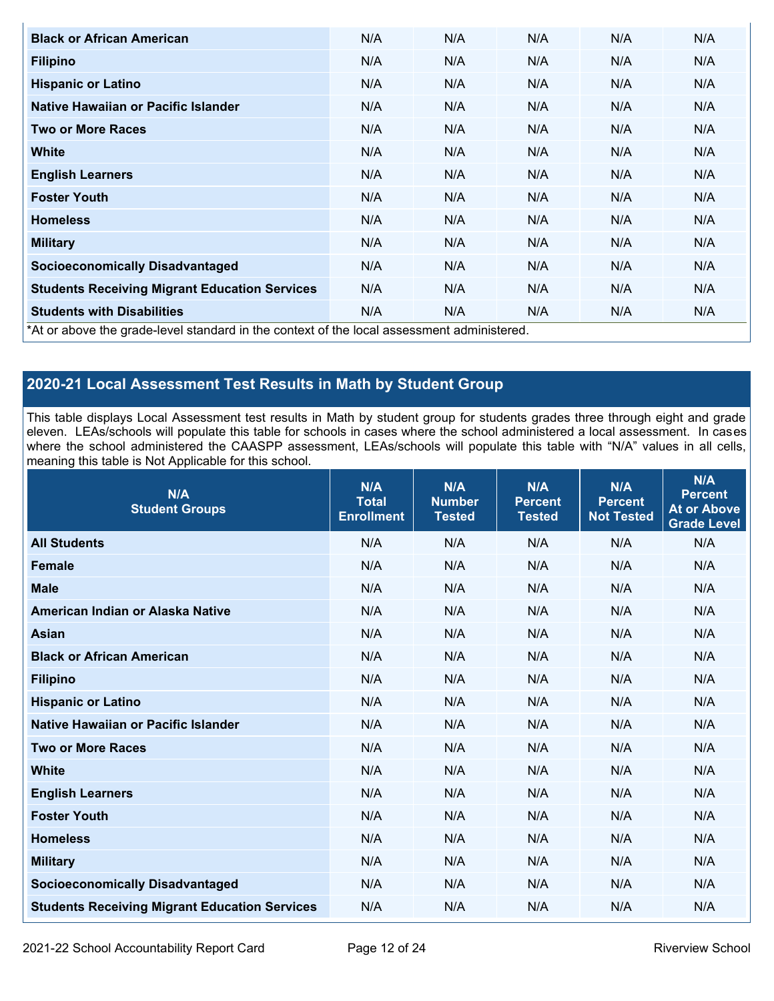| <b>Black or African American</b>                                                          | N/A | N/A | N/A | N/A | N/A |
|-------------------------------------------------------------------------------------------|-----|-----|-----|-----|-----|
| <b>Filipino</b>                                                                           | N/A | N/A | N/A | N/A | N/A |
| <b>Hispanic or Latino</b>                                                                 | N/A | N/A | N/A | N/A | N/A |
| Native Hawaiian or Pacific Islander                                                       | N/A | N/A | N/A | N/A | N/A |
| <b>Two or More Races</b>                                                                  | N/A | N/A | N/A | N/A | N/A |
| White                                                                                     | N/A | N/A | N/A | N/A | N/A |
| <b>English Learners</b>                                                                   | N/A | N/A | N/A | N/A | N/A |
| <b>Foster Youth</b>                                                                       | N/A | N/A | N/A | N/A | N/A |
| <b>Homeless</b>                                                                           | N/A | N/A | N/A | N/A | N/A |
| <b>Military</b>                                                                           | N/A | N/A | N/A | N/A | N/A |
| <b>Socioeconomically Disadvantaged</b>                                                    | N/A | N/A | N/A | N/A | N/A |
| <b>Students Receiving Migrant Education Services</b>                                      | N/A | N/A | N/A | N/A | N/A |
| <b>Students with Disabilities</b>                                                         | N/A | N/A | N/A | N/A | N/A |
| *At or above the grade-level standard in the context of the local assessment administered |     |     |     |     |     |

\*At or above the grade-level standard in the context of the local assessment administered.

## **2020-21 Local Assessment Test Results in Math by Student Group**

This table displays Local Assessment test results in Math by student group for students grades three through eight and grade eleven. LEAs/schools will populate this table for schools in cases where the school administered a local assessment. In cases where the school administered the CAASPP assessment, LEAs/schools will populate this table with "N/A" values in all cells, meaning this table is Not Applicable for this school.

| N/A<br><b>Student Groups</b>                         | N/A<br><b>Total</b><br><b>Enrollment</b> | N/A<br><b>Number</b><br><b>Tested</b> | N/A<br><b>Percent</b><br><b>Tested</b> | N/A<br><b>Percent</b><br><b>Not Tested</b> | N/A<br><b>Percent</b><br><b>At or Above</b><br><b>Grade Level</b> |
|------------------------------------------------------|------------------------------------------|---------------------------------------|----------------------------------------|--------------------------------------------|-------------------------------------------------------------------|
| <b>All Students</b>                                  | N/A                                      | N/A                                   | N/A                                    | N/A                                        | N/A                                                               |
| <b>Female</b>                                        | N/A                                      | N/A                                   | N/A                                    | N/A                                        | N/A                                                               |
| <b>Male</b>                                          | N/A                                      | N/A                                   | N/A                                    | N/A                                        | N/A                                                               |
| American Indian or Alaska Native                     | N/A                                      | N/A                                   | N/A                                    | N/A                                        | N/A                                                               |
| <b>Asian</b>                                         | N/A                                      | N/A                                   | N/A                                    | N/A                                        | N/A                                                               |
| <b>Black or African American</b>                     | N/A                                      | N/A                                   | N/A                                    | N/A                                        | N/A                                                               |
| <b>Filipino</b>                                      | N/A                                      | N/A                                   | N/A                                    | N/A                                        | N/A                                                               |
| <b>Hispanic or Latino</b>                            | N/A                                      | N/A                                   | N/A                                    | N/A                                        | N/A                                                               |
| Native Hawaiian or Pacific Islander                  | N/A                                      | N/A                                   | N/A                                    | N/A                                        | N/A                                                               |
| <b>Two or More Races</b>                             | N/A                                      | N/A                                   | N/A                                    | N/A                                        | N/A                                                               |
| <b>White</b>                                         | N/A                                      | N/A                                   | N/A                                    | N/A                                        | N/A                                                               |
| <b>English Learners</b>                              | N/A                                      | N/A                                   | N/A                                    | N/A                                        | N/A                                                               |
| <b>Foster Youth</b>                                  | N/A                                      | N/A                                   | N/A                                    | N/A                                        | N/A                                                               |
| <b>Homeless</b>                                      | N/A                                      | N/A                                   | N/A                                    | N/A                                        | N/A                                                               |
| <b>Military</b>                                      | N/A                                      | N/A                                   | N/A                                    | N/A                                        | N/A                                                               |
| <b>Socioeconomically Disadvantaged</b>               | N/A                                      | N/A                                   | N/A                                    | N/A                                        | N/A                                                               |
| <b>Students Receiving Migrant Education Services</b> | N/A                                      | N/A                                   | N/A                                    | N/A                                        | N/A                                                               |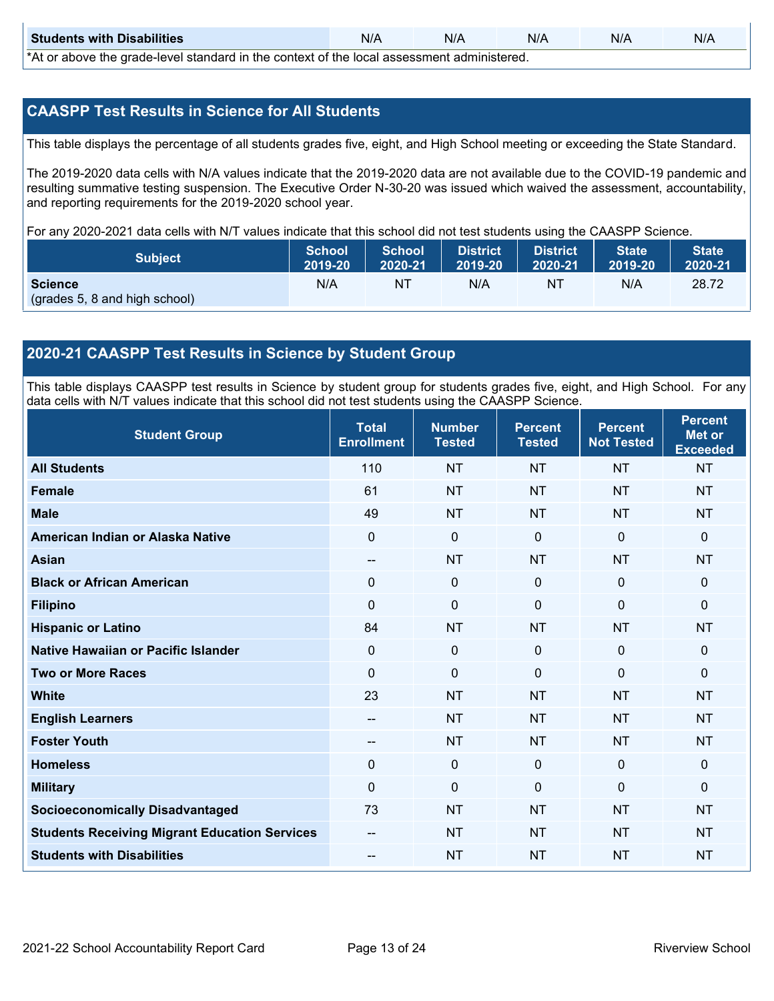| <b>Students with Disabilities</b>                                                           | N/A | N/A | N/A | N/A | N/A |  |  |
|---------------------------------------------------------------------------------------------|-----|-----|-----|-----|-----|--|--|
| *At as above the escale level standard in the context of the local accordinate admissioned. |     |     |     |     |     |  |  |

\*At or above the grade-level standard in the context of the local assessment administered.

## **CAASPP Test Results in Science for All Students**

This table displays the percentage of all students grades five, eight, and High School meeting or exceeding the State Standard.

The 2019-2020 data cells with N/A values indicate that the 2019-2020 data are not available due to the COVID-19 pandemic and resulting summative testing suspension. The Executive Order N-30-20 was issued which waived the assessment, accountability, and reporting requirements for the 2019-2020 school year.

For any 2020-2021 data cells with N/T values indicate that this school did not test students using the CAASPP Science.

| <b>Subject</b>                                  | <b>School</b> | <b>School</b> | <b>District</b> | District | <b>State</b> | <b>State</b> |
|-------------------------------------------------|---------------|---------------|-----------------|----------|--------------|--------------|
|                                                 | 2019-20       | 2020-21       | 2019-20         | 2020-21  | 2019-20      | 2020-21      |
| <b>Science</b><br>(grades 5, 8 and high school) | N/A           | ΝT            | N/A             | NT       | N/A          | 28.72        |

## **2020-21 CAASPP Test Results in Science by Student Group**

This table displays CAASPP test results in Science by student group for students grades five, eight, and High School. For any data cells with N/T values indicate that this school did not test students using the CAASPP Science.

| <b>Student Group</b>                                 | <b>Total</b><br><b>Enrollment</b> | <b>Number</b><br><b>Tested</b> | <b>Percent</b><br><b>Tested</b> | <b>Percent</b><br><b>Not Tested</b> | <b>Percent</b><br><b>Met or</b><br><b>Exceeded</b> |
|------------------------------------------------------|-----------------------------------|--------------------------------|---------------------------------|-------------------------------------|----------------------------------------------------|
| <b>All Students</b>                                  | 110                               | <b>NT</b>                      | <b>NT</b>                       | <b>NT</b>                           | <b>NT</b>                                          |
| <b>Female</b>                                        | 61                                | <b>NT</b>                      | <b>NT</b>                       | <b>NT</b>                           | <b>NT</b>                                          |
| <b>Male</b>                                          | 49                                | <b>NT</b>                      | <b>NT</b>                       | <b>NT</b>                           | <b>NT</b>                                          |
| American Indian or Alaska Native                     | $\mathbf 0$                       | $\mathbf 0$                    | $\mathbf 0$                     | $\mathbf 0$                         | $\mathbf{0}$                                       |
| <b>Asian</b>                                         | $\overline{\phantom{a}}$          | <b>NT</b>                      | <b>NT</b>                       | <b>NT</b>                           | <b>NT</b>                                          |
| <b>Black or African American</b>                     | 0                                 | $\mathbf 0$                    | $\mathbf 0$                     | $\mathbf 0$                         | $\mathbf 0$                                        |
| <b>Filipino</b>                                      | 0                                 | $\mathbf 0$                    | $\mathbf{0}$                    | $\Omega$                            | $\mathbf 0$                                        |
| <b>Hispanic or Latino</b>                            | 84                                | <b>NT</b>                      | <b>NT</b>                       | <b>NT</b>                           | <b>NT</b>                                          |
| Native Hawaiian or Pacific Islander                  | $\mathbf 0$                       | $\mathbf 0$                    | $\mathbf{0}$                    | $\mathbf 0$                         | $\mathbf{0}$                                       |
| <b>Two or More Races</b>                             | $\Omega$                          | $\mathbf 0$                    | $\mathbf{0}$                    | $\mathbf{0}$                        | $\mathbf{0}$                                       |
| <b>White</b>                                         | 23                                | <b>NT</b>                      | <b>NT</b>                       | <b>NT</b>                           | <b>NT</b>                                          |
| <b>English Learners</b>                              | --                                | <b>NT</b>                      | <b>NT</b>                       | <b>NT</b>                           | <b>NT</b>                                          |
| <b>Foster Youth</b>                                  | $-$                               | <b>NT</b>                      | <b>NT</b>                       | <b>NT</b>                           | <b>NT</b>                                          |
| <b>Homeless</b>                                      | 0                                 | $\mathbf{0}$                   | $\mathbf 0$                     | $\mathbf 0$                         | $\mathbf 0$                                        |
| <b>Military</b>                                      | $\Omega$                          | $\mathbf 0$                    | $\mathbf{0}$                    | $\mathbf{0}$                        | $\mathbf{0}$                                       |
| <b>Socioeconomically Disadvantaged</b>               | 73                                | <b>NT</b>                      | <b>NT</b>                       | <b>NT</b>                           | <b>NT</b>                                          |
| <b>Students Receiving Migrant Education Services</b> |                                   | <b>NT</b>                      | <b>NT</b>                       | <b>NT</b>                           | <b>NT</b>                                          |
| <b>Students with Disabilities</b>                    | $\qquad \qquad -$                 | <b>NT</b>                      | <b>NT</b>                       | <b>NT</b>                           | <b>NT</b>                                          |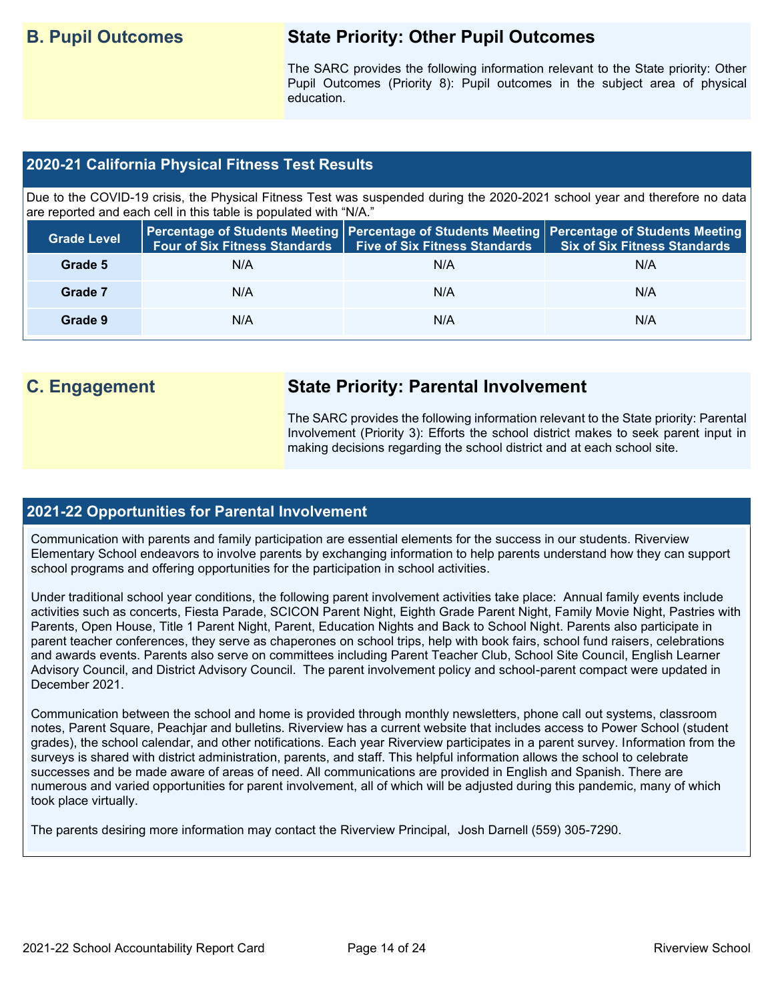## **B. Pupil Outcomes State Priority: Other Pupil Outcomes**

The SARC provides the following information relevant to the State priority: Other Pupil Outcomes (Priority 8): Pupil outcomes in the subject area of physical education.

## **2020-21 California Physical Fitness Test Results**

Due to the COVID-19 crisis, the Physical Fitness Test was suspended during the 2020-2021 school year and therefore no data are reported and each cell in this table is populated with "N/A."

| <b>Grade Level</b> | <b>Four of Six Fitness Standards</b> | <b>Five of Six Fitness Standards</b> | Percentage of Students Meeting   Percentage of Students Meeting   Percentage of Students Meeting  <br><b>Six of Six Fitness Standards</b> |
|--------------------|--------------------------------------|--------------------------------------|-------------------------------------------------------------------------------------------------------------------------------------------|
| Grade 5            | N/A                                  | N/A                                  | N/A                                                                                                                                       |
| Grade 7            | N/A                                  | N/A                                  | N/A                                                                                                                                       |
| Grade 9            | N/A                                  | N/A                                  | N/A                                                                                                                                       |

## **C. Engagement State Priority: Parental Involvement**

The SARC provides the following information relevant to the State priority: Parental Involvement (Priority 3): Efforts the school district makes to seek parent input in making decisions regarding the school district and at each school site.

### **2021-22 Opportunities for Parental Involvement**

Communication with parents and family participation are essential elements for the success in our students. Riverview Elementary School endeavors to involve parents by exchanging information to help parents understand how they can support school programs and offering opportunities for the participation in school activities.

Under traditional school year conditions, the following parent involvement activities take place: Annual family events include activities such as concerts, Fiesta Parade, SCICON Parent Night, Eighth Grade Parent Night, Family Movie Night, Pastries with Parents, Open House, Title 1 Parent Night, Parent, Education Nights and Back to School Night. Parents also participate in parent teacher conferences, they serve as chaperones on school trips, help with book fairs, school fund raisers, celebrations and awards events. Parents also serve on committees including Parent Teacher Club, School Site Council, English Learner Advisory Council, and District Advisory Council. The parent involvement policy and school-parent compact were updated in December 2021.

Communication between the school and home is provided through monthly newsletters, phone call out systems, classroom notes, Parent Square, Peachjar and bulletins. Riverview has a current website that includes access to Power School (student grades), the school calendar, and other notifications. Each year Riverview participates in a parent survey. Information from the surveys is shared with district administration, parents, and staff. This helpful information allows the school to celebrate successes and be made aware of areas of need. All communications are provided in English and Spanish. There are numerous and varied opportunities for parent involvement, all of which will be adjusted during this pandemic, many of which took place virtually.

The parents desiring more information may contact the Riverview Principal, Josh Darnell (559) 305-7290.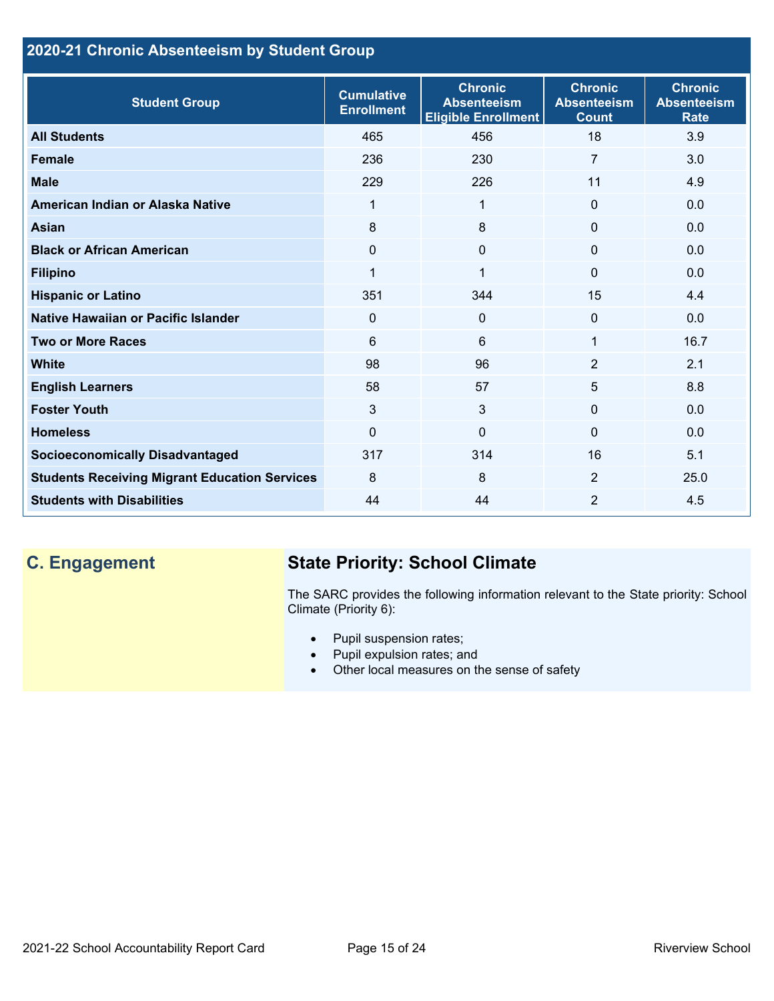## **2020-21 Chronic Absenteeism by Student Group**

| <b>Student Group</b>                                 | <b>Cumulative</b><br><b>Enrollment</b> | <b>Chronic</b><br><b>Absenteeism</b><br><b>Eligible Enrollment</b> | <b>Chronic</b><br><b>Absenteeism</b><br><b>Count</b> | <b>Chronic</b><br><b>Absenteeism</b><br><b>Rate</b> |
|------------------------------------------------------|----------------------------------------|--------------------------------------------------------------------|------------------------------------------------------|-----------------------------------------------------|
| <b>All Students</b>                                  | 465                                    | 456                                                                | 18                                                   | 3.9                                                 |
| <b>Female</b>                                        | 236                                    | 230                                                                | $\overline{7}$                                       | 3.0                                                 |
| <b>Male</b>                                          | 229                                    | 226                                                                | 11                                                   | 4.9                                                 |
| American Indian or Alaska Native                     | 1                                      | 1                                                                  | $\mathbf{0}$                                         | 0.0                                                 |
| <b>Asian</b>                                         | 8                                      | 8                                                                  | $\mathbf 0$                                          | 0.0                                                 |
| <b>Black or African American</b>                     | $\Omega$                               | $\Omega$                                                           | $\mathbf{0}$                                         | 0.0                                                 |
| <b>Filipino</b>                                      | 1                                      | $\mathbf 1$                                                        | $\mathbf{0}$                                         | 0.0                                                 |
| <b>Hispanic or Latino</b>                            | 351                                    | 344                                                                | 15                                                   | 4.4                                                 |
| Native Hawaiian or Pacific Islander                  | 0                                      | $\mathbf 0$                                                        | $\mathbf 0$                                          | 0.0                                                 |
| <b>Two or More Races</b>                             | 6                                      | 6                                                                  | 1                                                    | 16.7                                                |
| <b>White</b>                                         | 98                                     | 96                                                                 | 2                                                    | 2.1                                                 |
| <b>English Learners</b>                              | 58                                     | 57                                                                 | 5                                                    | 8.8                                                 |
| <b>Foster Youth</b>                                  | 3                                      | 3                                                                  | $\Omega$                                             | 0.0                                                 |
| <b>Homeless</b>                                      | $\Omega$                               | $\mathbf 0$                                                        | $\Omega$                                             | 0.0                                                 |
| <b>Socioeconomically Disadvantaged</b>               | 317                                    | 314                                                                | 16                                                   | 5.1                                                 |
| <b>Students Receiving Migrant Education Services</b> | 8                                      | 8                                                                  | 2                                                    | 25.0                                                |
| <b>Students with Disabilities</b>                    | 44                                     | 44                                                                 | $\overline{2}$                                       | 4.5                                                 |

## **C. Engagement State Priority: School Climate**

The SARC provides the following information relevant to the State priority: School Climate (Priority 6):

- Pupil suspension rates;
- Pupil expulsion rates; and
- Other local measures on the sense of safety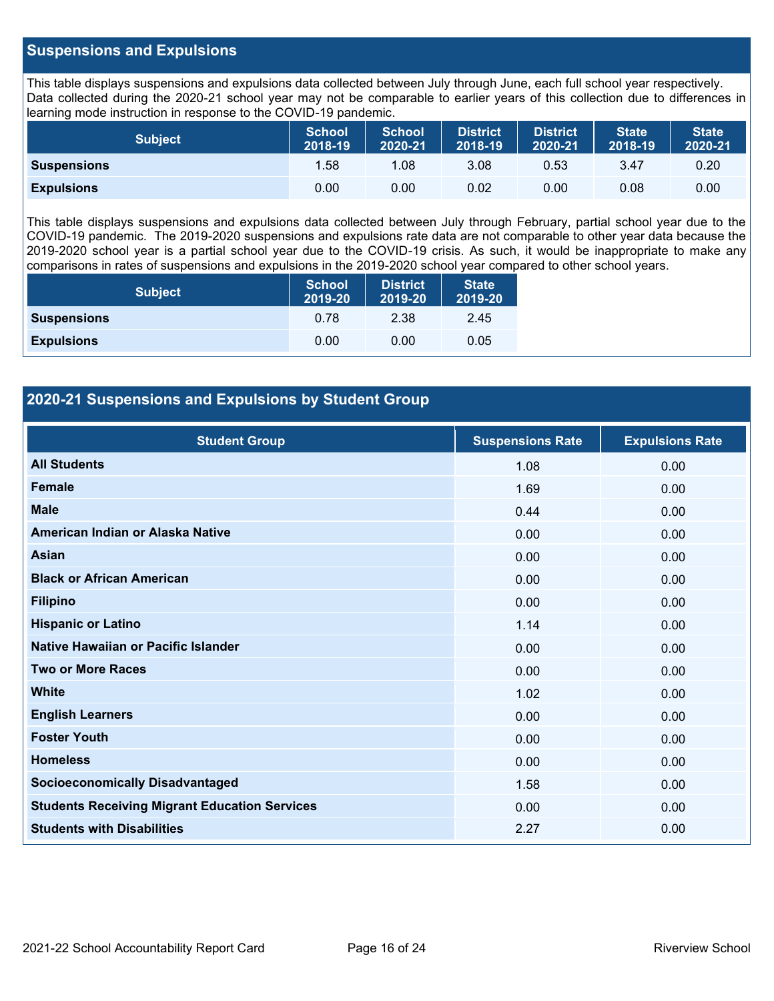## **Suspensions and Expulsions**

This table displays suspensions and expulsions data collected between July through June, each full school year respectively. Data collected during the 2020-21 school year may not be comparable to earlier years of this collection due to differences in learning mode instruction in response to the COVID-19 pandemic.

| <b>Subject</b>     | <b>School</b><br>2018-19 | <b>School</b><br>2020-21 | <b>District</b><br>2018-19 | <b>District</b><br>2020-21 | <b>State</b><br>2018-19 | <b>State</b><br>2020-21 |
|--------------------|--------------------------|--------------------------|----------------------------|----------------------------|-------------------------|-------------------------|
| <b>Suspensions</b> | 1.58                     | .08                      | 3.08                       | 0.53                       | 3.47                    | 0.20                    |
| <b>Expulsions</b>  | 0.00                     | 0.00                     | 0.02                       | 0.00                       | 0.08                    | 0.00                    |

This table displays suspensions and expulsions data collected between July through February, partial school year due to the COVID-19 pandemic. The 2019-2020 suspensions and expulsions rate data are not comparable to other year data because the 2019-2020 school year is a partial school year due to the COVID-19 crisis. As such, it would be inappropriate to make any comparisons in rates of suspensions and expulsions in the 2019-2020 school year compared to other school years.

| <b>Subject</b>     | <b>School</b><br>2019-20 | <b>District</b><br>2019-20 | <b>State</b><br>2019-20 |
|--------------------|--------------------------|----------------------------|-------------------------|
| <b>Suspensions</b> | 0.78                     | 2.38                       | 2.45                    |
| <b>Expulsions</b>  | 0.00                     | 0.00                       | 0.05                    |

## **2020-21 Suspensions and Expulsions by Student Group**

| <b>Student Group</b>                                 | <b>Suspensions Rate</b> | <b>Expulsions Rate</b> |
|------------------------------------------------------|-------------------------|------------------------|
| <b>All Students</b>                                  | 1.08                    | 0.00                   |
| <b>Female</b>                                        | 1.69                    | 0.00                   |
| <b>Male</b>                                          | 0.44                    | 0.00                   |
| American Indian or Alaska Native                     | 0.00                    | 0.00                   |
| <b>Asian</b>                                         | 0.00                    | 0.00                   |
| <b>Black or African American</b>                     | 0.00                    | 0.00                   |
| <b>Filipino</b>                                      | 0.00                    | 0.00                   |
| <b>Hispanic or Latino</b>                            | 1.14                    | 0.00                   |
| Native Hawaiian or Pacific Islander                  | 0.00                    | 0.00                   |
| <b>Two or More Races</b>                             | 0.00                    | 0.00                   |
| <b>White</b>                                         | 1.02                    | 0.00                   |
| <b>English Learners</b>                              | 0.00                    | 0.00                   |
| <b>Foster Youth</b>                                  | 0.00                    | 0.00                   |
| <b>Homeless</b>                                      | 0.00                    | 0.00                   |
| <b>Socioeconomically Disadvantaged</b>               | 1.58                    | 0.00                   |
| <b>Students Receiving Migrant Education Services</b> | 0.00                    | 0.00                   |
| <b>Students with Disabilities</b>                    | 2.27                    | 0.00                   |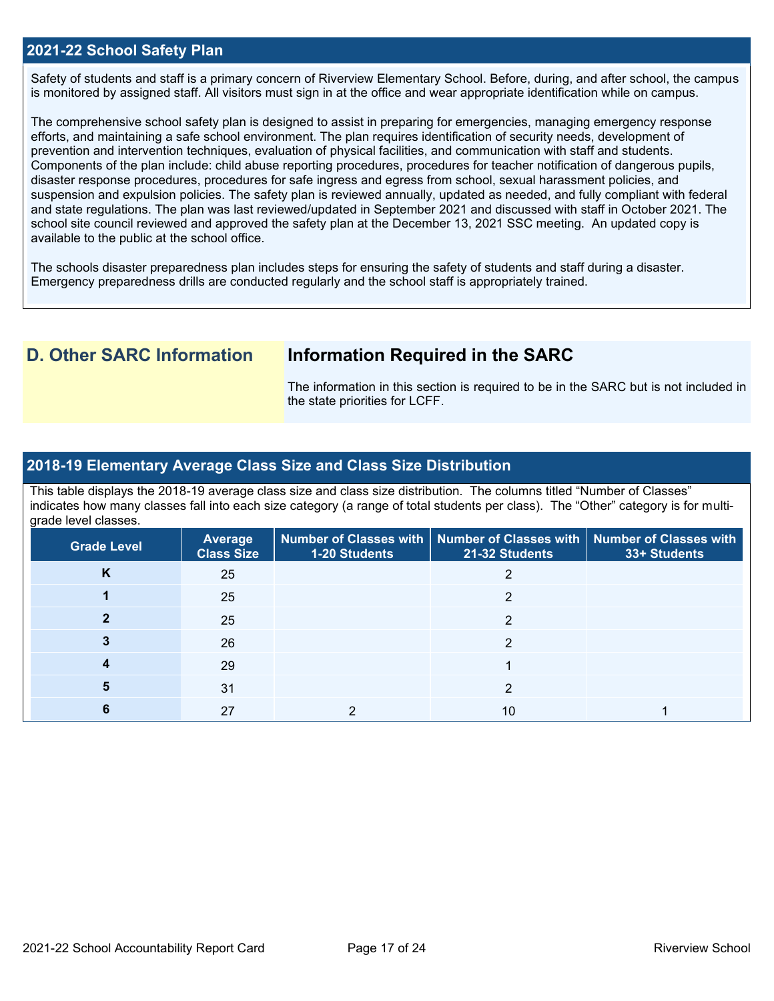### **2021-22 School Safety Plan**

Safety of students and staff is a primary concern of Riverview Elementary School. Before, during, and after school, the campus is monitored by assigned staff. All visitors must sign in at the office and wear appropriate identification while on campus.

The comprehensive school safety plan is designed to assist in preparing for emergencies, managing emergency response efforts, and maintaining a safe school environment. The plan requires identification of security needs, development of prevention and intervention techniques, evaluation of physical facilities, and communication with staff and students. Components of the plan include: child abuse reporting procedures, procedures for teacher notification of dangerous pupils, disaster response procedures, procedures for safe ingress and egress from school, sexual harassment policies, and suspension and expulsion policies. The safety plan is reviewed annually, updated as needed, and fully compliant with federal and state regulations. The plan was last reviewed/updated in September 2021 and discussed with staff in October 2021. The school site council reviewed and approved the safety plan at the December 13, 2021 SSC meeting. An updated copy is available to the public at the school office.

The schools disaster preparedness plan includes steps for ensuring the safety of students and staff during a disaster. Emergency preparedness drills are conducted regularly and the school staff is appropriately trained.

## **D. Other SARC Information Information Required in the SARC**

The information in this section is required to be in the SARC but is not included in the state priorities for LCFF.

### **2018-19 Elementary Average Class Size and Class Size Distribution**

This table displays the 2018-19 average class size and class size distribution. The columns titled "Number of Classes" indicates how many classes fall into each size category (a range of total students per class). The "Other" category is for multigrade level classes.

| <b>Grade Level</b> | Average<br><b>Class Size</b> | 1-20 Students | Number of Classes with   Number of Classes with   Number of Classes with<br>21-32 Students | 33+ Students |
|--------------------|------------------------------|---------------|--------------------------------------------------------------------------------------------|--------------|
| Κ                  | 25                           |               |                                                                                            |              |
|                    | 25                           |               | ◠                                                                                          |              |
|                    | 25                           |               | ◠                                                                                          |              |
|                    | 26                           |               | ◠                                                                                          |              |
|                    | 29                           |               |                                                                                            |              |
|                    | 31                           |               | ◠                                                                                          |              |
|                    | 27                           |               | 10                                                                                         |              |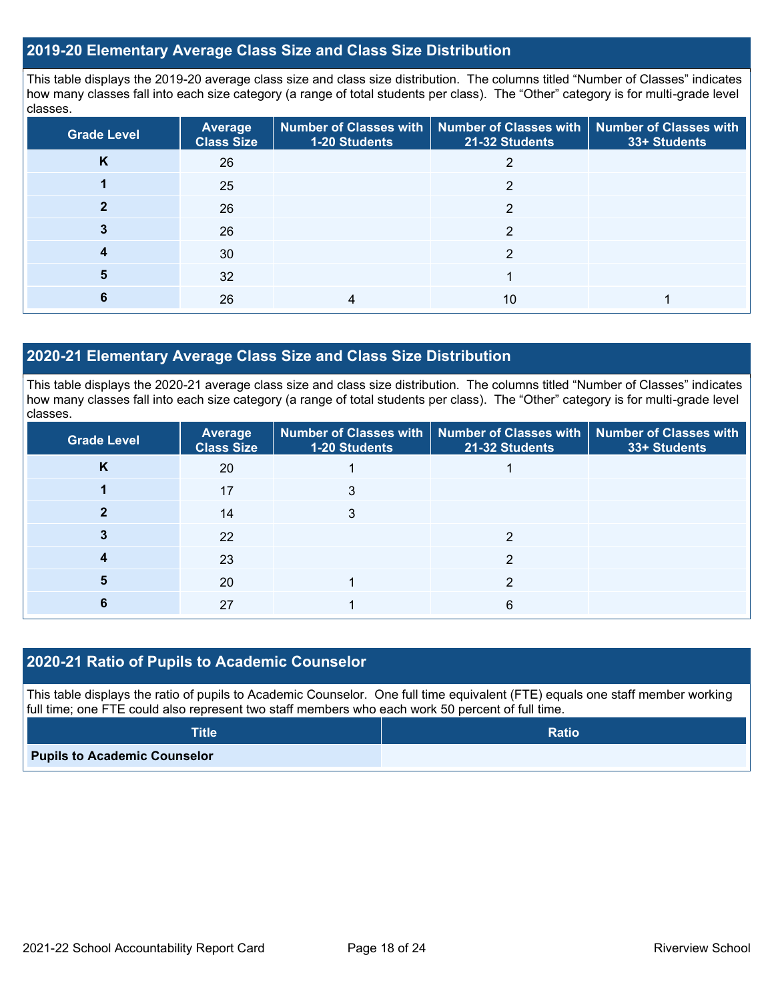## **2019-20 Elementary Average Class Size and Class Size Distribution**

This table displays the 2019-20 average class size and class size distribution. The columns titled "Number of Classes" indicates how many classes fall into each size category (a range of total students per class). The "Other" category is for multi-grade level classes.

| <b>Grade Level</b> | <b>Average</b><br><b>Class Size</b> | 1-20 Students | Number of Classes with   Number of Classes with   Number of Classes with<br>21-32 Students | 33+ Students |
|--------------------|-------------------------------------|---------------|--------------------------------------------------------------------------------------------|--------------|
| n.                 | 26                                  |               |                                                                                            |              |
|                    | 25                                  |               | っ                                                                                          |              |
|                    | 26                                  |               | 2                                                                                          |              |
|                    | 26                                  |               | ◠                                                                                          |              |
|                    | 30                                  |               | ≘                                                                                          |              |
| 5                  | 32                                  |               |                                                                                            |              |
|                    | 26                                  |               | 10                                                                                         |              |

## **2020-21 Elementary Average Class Size and Class Size Distribution**

This table displays the 2020-21 average class size and class size distribution. The columns titled "Number of Classes" indicates how many classes fall into each size category (a range of total students per class). The "Other" category is for multi-grade level classes.

| <b>Grade Level</b> | <b>Average</b><br><b>Class Size</b> | 1-20 Students | Number of Classes with   Number of Classes with   Number of Classes with<br>21-32 Students | 33+ Students |
|--------------------|-------------------------------------|---------------|--------------------------------------------------------------------------------------------|--------------|
| K                  | 20                                  |               |                                                                                            |              |
|                    | 17                                  |               |                                                                                            |              |
|                    | 14                                  | 3             |                                                                                            |              |
|                    | 22                                  |               |                                                                                            |              |
|                    | 23                                  |               | ≘                                                                                          |              |
|                    | 20                                  |               | ◠                                                                                          |              |
|                    | 27                                  |               | 6                                                                                          |              |

## **2020-21 Ratio of Pupils to Academic Counselor**

This table displays the ratio of pupils to Academic Counselor. One full time equivalent (FTE) equals one staff member working full time; one FTE could also represent two staff members who each work 50 percent of full time.

| <b>Title</b>                        | <b>Ratio</b> |
|-------------------------------------|--------------|
| <b>Pupils to Academic Counselor</b> |              |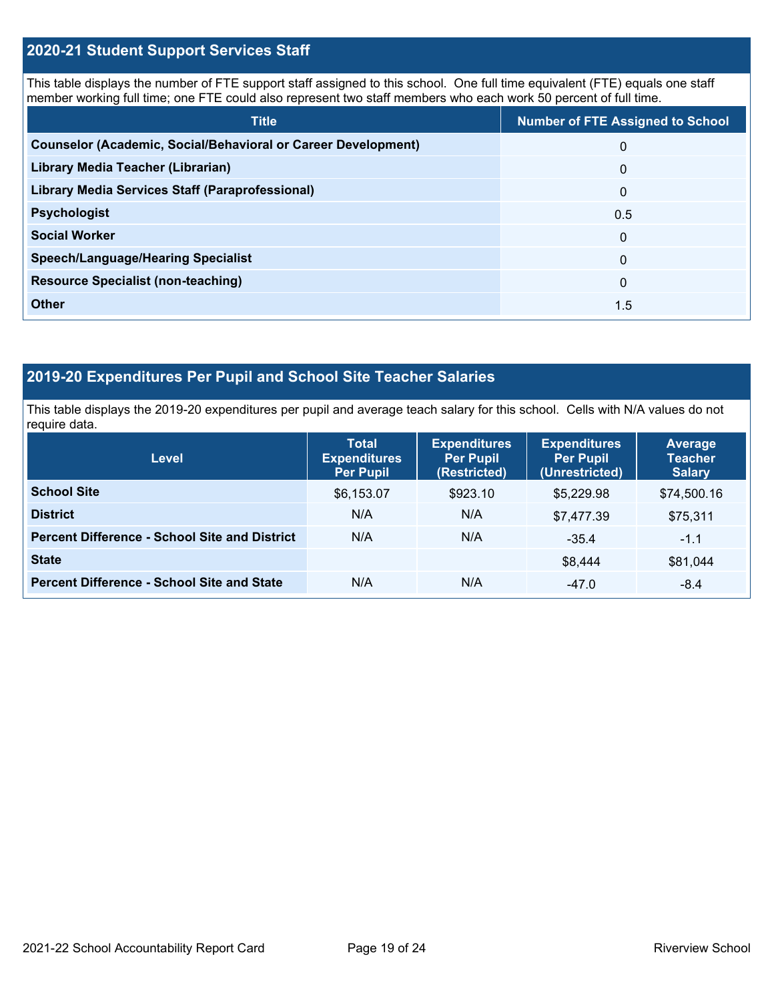## **2020-21 Student Support Services Staff**

This table displays the number of FTE support staff assigned to this school. One full time equivalent (FTE) equals one staff member working full time; one FTE could also represent two staff members who each work 50 percent of full time.

| <b>Title</b>                                                         | <b>Number of FTE Assigned to School</b> |
|----------------------------------------------------------------------|-----------------------------------------|
| <b>Counselor (Academic, Social/Behavioral or Career Development)</b> | $\Omega$                                |
| Library Media Teacher (Librarian)                                    | $\mathbf{0}$                            |
| <b>Library Media Services Staff (Paraprofessional)</b>               | $\overline{0}$                          |
| <b>Psychologist</b>                                                  | 0.5                                     |
| <b>Social Worker</b>                                                 | $\Omega$                                |
| <b>Speech/Language/Hearing Specialist</b>                            | $\Omega$                                |
| <b>Resource Specialist (non-teaching)</b>                            | $\Omega$                                |
| <b>Other</b>                                                         | 1.5                                     |

## **2019-20 Expenditures Per Pupil and School Site Teacher Salaries**

This table displays the 2019-20 expenditures per pupil and average teach salary for this school. Cells with N/A values do not require data.

| <b>Level</b>                                         | <b>Total</b><br><b>Expenditures</b><br><b>Per Pupil</b> | <b>Expenditures</b><br><b>Per Pupil</b><br>(Restricted) | <b>Expenditures</b><br><b>Per Pupil</b><br>(Unrestricted) | <b>Average</b><br><b>Teacher</b><br><b>Salary</b> |
|------------------------------------------------------|---------------------------------------------------------|---------------------------------------------------------|-----------------------------------------------------------|---------------------------------------------------|
| <b>School Site</b>                                   | \$6,153.07                                              | \$923.10                                                | \$5,229.98                                                | \$74,500.16                                       |
| <b>District</b>                                      | N/A                                                     | N/A                                                     | \$7,477.39                                                | \$75,311                                          |
| <b>Percent Difference - School Site and District</b> | N/A                                                     | N/A                                                     | $-35.4$                                                   | $-1.1$                                            |
| <b>State</b>                                         |                                                         |                                                         | \$8,444                                                   | \$81,044                                          |
| <b>Percent Difference - School Site and State</b>    | N/A                                                     | N/A                                                     | $-47.0$                                                   | $-8.4$                                            |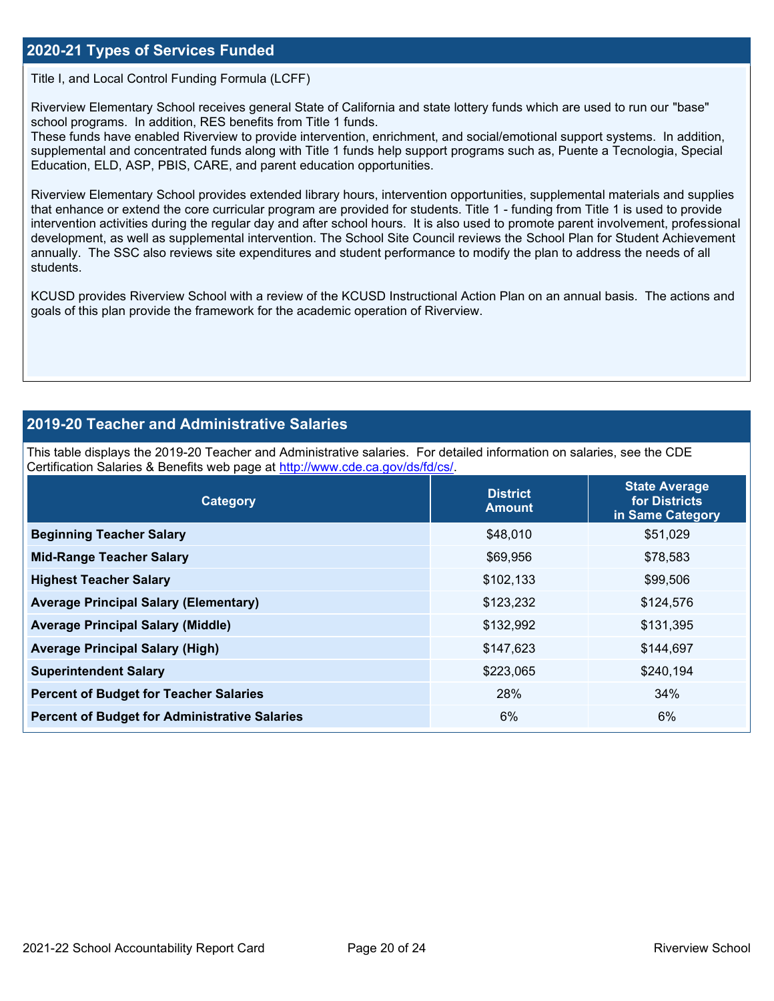## **2020-21 Types of Services Funded**

Title I, and Local Control Funding Formula (LCFF)

Riverview Elementary School receives general State of California and state lottery funds which are used to run our "base" school programs. In addition, RES benefits from Title 1 funds.

These funds have enabled Riverview to provide intervention, enrichment, and social/emotional support systems. In addition, supplemental and concentrated funds along with Title 1 funds help support programs such as, Puente a Tecnologia, Special Education, ELD, ASP, PBIS, CARE, and parent education opportunities.

Riverview Elementary School provides extended library hours, intervention opportunities, supplemental materials and supplies that enhance or extend the core curricular program are provided for students. Title 1 - funding from Title 1 is used to provide intervention activities during the regular day and after school hours. It is also used to promote parent involvement, professional development, as well as supplemental intervention. The School Site Council reviews the School Plan for Student Achievement annually. The SSC also reviews site expenditures and student performance to modify the plan to address the needs of all students.

KCUSD provides Riverview School with a review of the KCUSD Instructional Action Plan on an annual basis. The actions and goals of this plan provide the framework for the academic operation of Riverview.

## **2019-20 Teacher and Administrative Salaries**

This table displays the 2019-20 Teacher and Administrative salaries. For detailed information on salaries, see the CDE Certification Salaries & Benefits web page at [http://www.cde.ca.gov/ds/fd/cs/.](http://www.cde.ca.gov/ds/fd/cs/)

| Category                                             | <b>District</b><br><b>Amount</b> | <b>State Average</b><br>for Districts<br>in Same Category |
|------------------------------------------------------|----------------------------------|-----------------------------------------------------------|
| <b>Beginning Teacher Salary</b>                      | \$48,010                         | \$51,029                                                  |
| <b>Mid-Range Teacher Salary</b>                      | \$69,956                         | \$78,583                                                  |
| <b>Highest Teacher Salary</b>                        | \$102,133                        | \$99,506                                                  |
| <b>Average Principal Salary (Elementary)</b>         | \$123,232                        | \$124,576                                                 |
| <b>Average Principal Salary (Middle)</b>             | \$132,992                        | \$131,395                                                 |
| <b>Average Principal Salary (High)</b>               | \$147,623                        | \$144,697                                                 |
| <b>Superintendent Salary</b>                         | \$223,065                        | \$240,194                                                 |
| <b>Percent of Budget for Teacher Salaries</b>        | 28%                              | 34%                                                       |
| <b>Percent of Budget for Administrative Salaries</b> | 6%                               | 6%                                                        |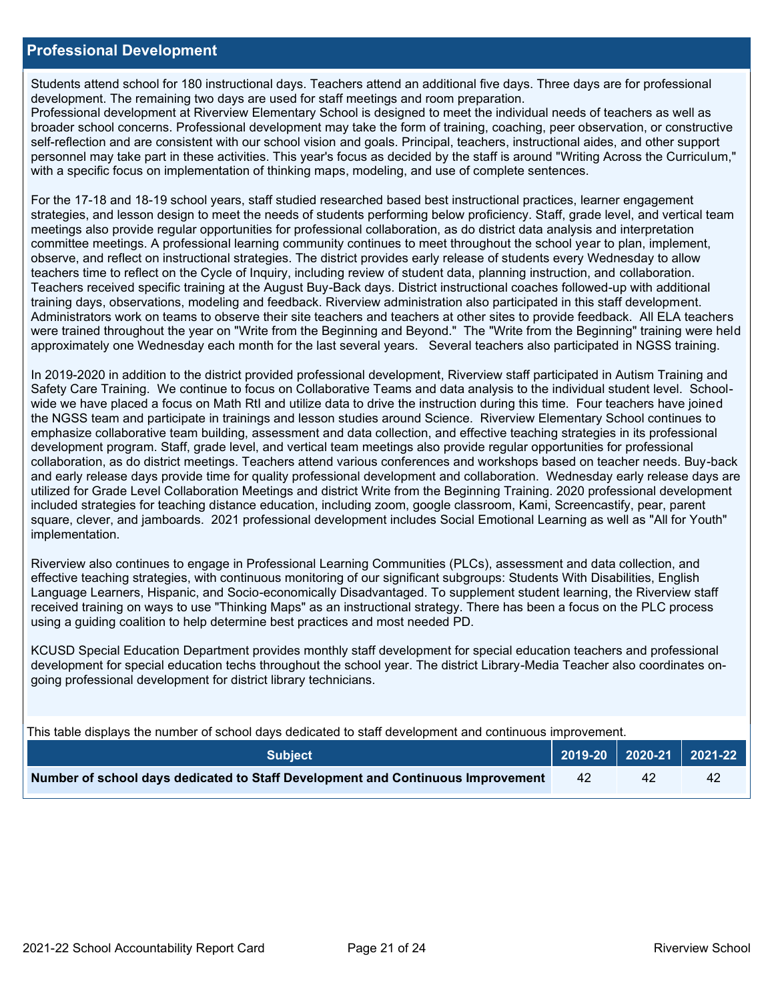### **Professional Development**

Students attend school for 180 instructional days. Teachers attend an additional five days. Three days are for professional development. The remaining two days are used for staff meetings and room preparation.

Professional development at Riverview Elementary School is designed to meet the individual needs of teachers as well as broader school concerns. Professional development may take the form of training, coaching, peer observation, or constructive self-reflection and are consistent with our school vision and goals. Principal, teachers, instructional aides, and other support personnel may take part in these activities. This year's focus as decided by the staff is around "Writing Across the Curriculum," with a specific focus on implementation of thinking maps, modeling, and use of complete sentences.

For the 17-18 and 18-19 school years, staff studied researched based best instructional practices, learner engagement strategies, and lesson design to meet the needs of students performing below proficiency. Staff, grade level, and vertical team meetings also provide regular opportunities for professional collaboration, as do district data analysis and interpretation committee meetings. A professional learning community continues to meet throughout the school year to plan, implement, observe, and reflect on instructional strategies. The district provides early release of students every Wednesday to allow teachers time to reflect on the Cycle of Inquiry, including review of student data, planning instruction, and collaboration. Teachers received specific training at the August Buy-Back days. District instructional coaches followed-up with additional training days, observations, modeling and feedback. Riverview administration also participated in this staff development. Administrators work on teams to observe their site teachers and teachers at other sites to provide feedback. All ELA teachers were trained throughout the year on "Write from the Beginning and Beyond." The "Write from the Beginning" training were held approximately one Wednesday each month for the last several years. Several teachers also participated in NGSS training.

In 2019-2020 in addition to the district provided professional development, Riverview staff participated in Autism Training and Safety Care Training. We continue to focus on Collaborative Teams and data analysis to the individual student level. Schoolwide we have placed a focus on Math RtI and utilize data to drive the instruction during this time. Four teachers have joined the NGSS team and participate in trainings and lesson studies around Science. Riverview Elementary School continues to emphasize collaborative team building, assessment and data collection, and effective teaching strategies in its professional development program. Staff, grade level, and vertical team meetings also provide regular opportunities for professional collaboration, as do district meetings. Teachers attend various conferences and workshops based on teacher needs. Buy-back and early release days provide time for quality professional development and collaboration. Wednesday early release days are utilized for Grade Level Collaboration Meetings and district Write from the Beginning Training. 2020 professional development included strategies for teaching distance education, including zoom, google classroom, Kami, Screencastify, pear, parent square, clever, and jamboards. 2021 professional development includes Social Emotional Learning as well as "All for Youth" implementation.

Riverview also continues to engage in Professional Learning Communities (PLCs), assessment and data collection, and effective teaching strategies, with continuous monitoring of our significant subgroups: Students With Disabilities, English Language Learners, Hispanic, and Socio-economically Disadvantaged. To supplement student learning, the Riverview staff received training on ways to use "Thinking Maps" as an instructional strategy. There has been a focus on the PLC process using a guiding coalition to help determine best practices and most needed PD.

KCUSD Special Education Department provides monthly staff development for special education teachers and professional development for special education techs throughout the school year. The district Library-Media Teacher also coordinates ongoing professional development for district library technicians.

|  |  | This table displays the number of school days dedicated to staff development and continuous improvement. |  |
|--|--|----------------------------------------------------------------------------------------------------------|--|
|  |  |                                                                                                          |  |

| <b>Subiect</b> \                                                                |    | 2019-20   2020-21   2021-22 |    |
|---------------------------------------------------------------------------------|----|-----------------------------|----|
| Number of school days dedicated to Staff Development and Continuous Improvement | 42 | 42                          | 42 |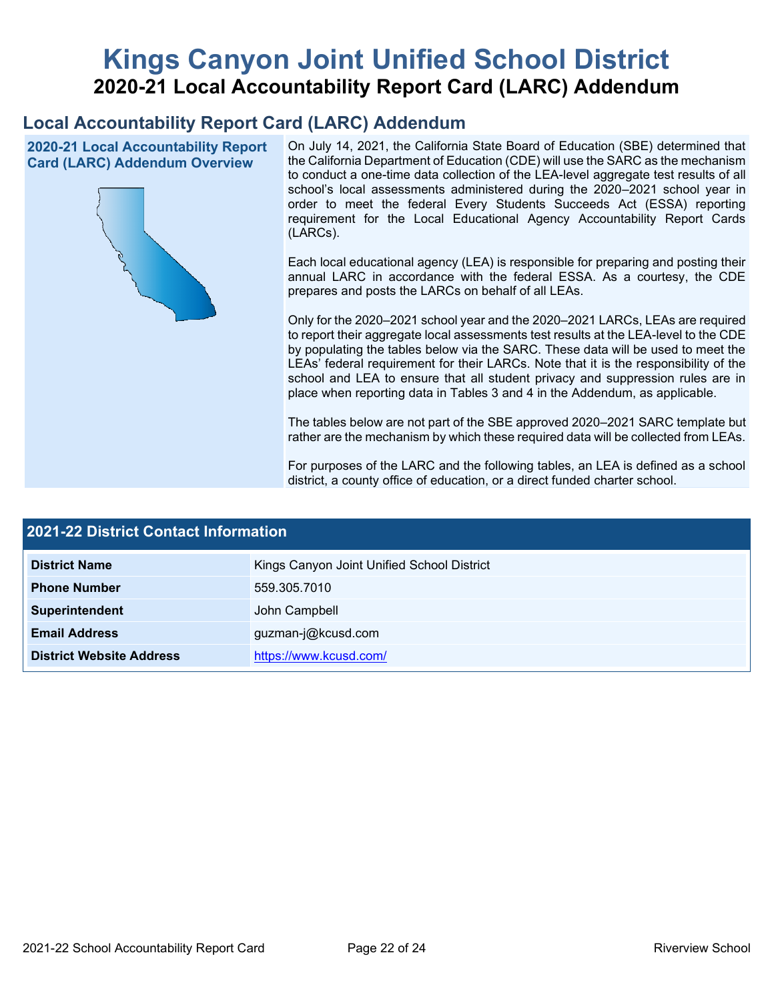# **Kings Canyon Joint Unified School District 2020-21 Local Accountability Report Card (LARC) Addendum**

## **Local Accountability Report Card (LARC) Addendum**

**2020-21 Local Accountability Report Card (LARC) Addendum Overview**



On July 14, 2021, the California State Board of Education (SBE) determined that the California Department of Education (CDE) will use the SARC as the mechanism to conduct a one-time data collection of the LEA-level aggregate test results of all school's local assessments administered during the 2020–2021 school year in order to meet the federal Every Students Succeeds Act (ESSA) reporting requirement for the Local Educational Agency Accountability Report Cards (LARCs).

Each local educational agency (LEA) is responsible for preparing and posting their annual LARC in accordance with the federal ESSA. As a courtesy, the CDE prepares and posts the LARCs on behalf of all LEAs.

Only for the 2020–2021 school year and the 2020–2021 LARCs, LEAs are required to report their aggregate local assessments test results at the LEA-level to the CDE by populating the tables below via the SARC. These data will be used to meet the LEAs' federal requirement for their LARCs. Note that it is the responsibility of the school and LEA to ensure that all student privacy and suppression rules are in place when reporting data in Tables 3 and 4 in the Addendum, as applicable.

The tables below are not part of the SBE approved 2020–2021 SARC template but rather are the mechanism by which these required data will be collected from LEAs.

For purposes of the LARC and the following tables, an LEA is defined as a school district, a county office of education, or a direct funded charter school.

| <b>2021-22 District Contact Information</b> |                                            |  |  |  |  |
|---------------------------------------------|--------------------------------------------|--|--|--|--|
| <b>District Name</b>                        | Kings Canyon Joint Unified School District |  |  |  |  |
| <b>Phone Number</b>                         | 559.305.7010                               |  |  |  |  |
| Superintendent                              | John Campbell                              |  |  |  |  |
| <b>Email Address</b>                        | guzman-j@kcusd.com                         |  |  |  |  |
| <b>District Website Address</b>             | https://www.kcusd.com/                     |  |  |  |  |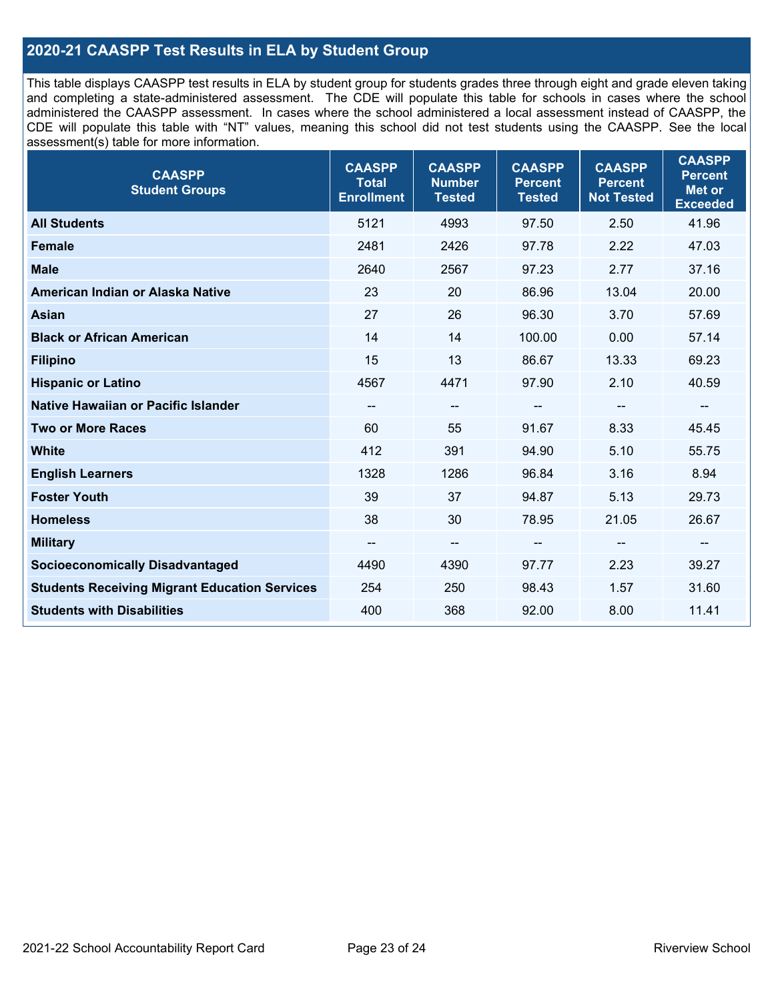## **2020-21 CAASPP Test Results in ELA by Student Group**

This table displays CAASPP test results in ELA by student group for students grades three through eight and grade eleven taking and completing a state-administered assessment. The CDE will populate this table for schools in cases where the school administered the CAASPP assessment. In cases where the school administered a local assessment instead of CAASPP, the CDE will populate this table with "NT" values, meaning this school did not test students using the CAASPP. See the local assessment(s) table for more information.

| <b>CAASPP</b><br><b>Student Groups</b>               | <b>CAASPP</b><br><b>Total</b><br><b>Enrollment</b> | <b>CAASPP</b><br><b>Number</b><br><b>Tested</b> | <b>CAASPP</b><br><b>Percent</b><br><b>Tested</b> | <b>CAASPP</b><br><b>Percent</b><br><b>Not Tested</b> | <b>CAASPP</b><br><b>Percent</b><br><b>Met or</b><br><b>Exceeded</b> |
|------------------------------------------------------|----------------------------------------------------|-------------------------------------------------|--------------------------------------------------|------------------------------------------------------|---------------------------------------------------------------------|
| <b>All Students</b>                                  | 5121                                               | 4993                                            | 97.50                                            | 2.50                                                 | 41.96                                                               |
| <b>Female</b>                                        | 2481                                               | 2426                                            | 97.78                                            | 2.22                                                 | 47.03                                                               |
| <b>Male</b>                                          | 2640                                               | 2567                                            | 97.23                                            | 2.77                                                 | 37.16                                                               |
| American Indian or Alaska Native                     | 23                                                 | 20                                              | 86.96                                            | 13.04                                                | 20.00                                                               |
| <b>Asian</b>                                         | 27                                                 | 26                                              | 96.30                                            | 3.70                                                 | 57.69                                                               |
| <b>Black or African American</b>                     | 14                                                 | 14                                              | 100.00                                           | 0.00                                                 | 57.14                                                               |
| <b>Filipino</b>                                      | 15                                                 | 13                                              | 86.67                                            | 13.33                                                | 69.23                                                               |
| <b>Hispanic or Latino</b>                            | 4567                                               | 4471                                            | 97.90                                            | 2.10                                                 | 40.59                                                               |
| Native Hawaiian or Pacific Islander                  | --                                                 | $\overline{\phantom{a}}$                        | --                                               | $\overline{\phantom{a}}$                             | $\overline{\phantom{a}}$                                            |
| <b>Two or More Races</b>                             | 60                                                 | 55                                              | 91.67                                            | 8.33                                                 | 45.45                                                               |
| <b>White</b>                                         | 412                                                | 391                                             | 94.90                                            | 5.10                                                 | 55.75                                                               |
| <b>English Learners</b>                              | 1328                                               | 1286                                            | 96.84                                            | 3.16                                                 | 8.94                                                                |
| <b>Foster Youth</b>                                  | 39                                                 | 37                                              | 94.87                                            | 5.13                                                 | 29.73                                                               |
| <b>Homeless</b>                                      | 38                                                 | 30                                              | 78.95                                            | 21.05                                                | 26.67                                                               |
| <b>Military</b>                                      | --                                                 | --                                              | --                                               | --                                                   | --                                                                  |
| <b>Socioeconomically Disadvantaged</b>               | 4490                                               | 4390                                            | 97.77                                            | 2.23                                                 | 39.27                                                               |
| <b>Students Receiving Migrant Education Services</b> | 254                                                | 250                                             | 98.43                                            | 1.57                                                 | 31.60                                                               |
| <b>Students with Disabilities</b>                    | 400                                                | 368                                             | 92.00                                            | 8.00                                                 | 11.41                                                               |